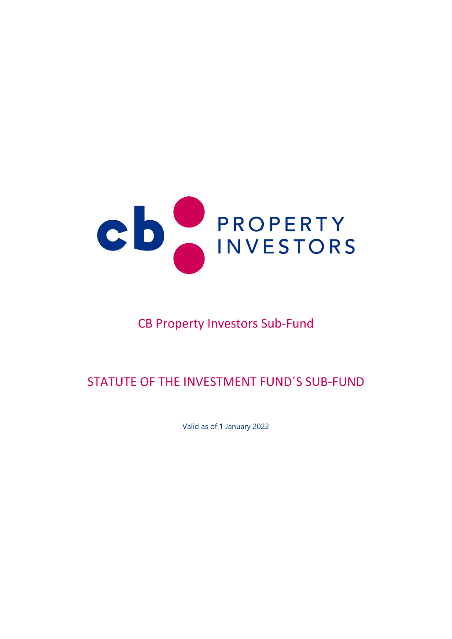

# CB Property Investors Sub-Fund

# STATUTE OF THE INVESTMENT FUND´S SUB-FUND

Valid as of 1 January 2022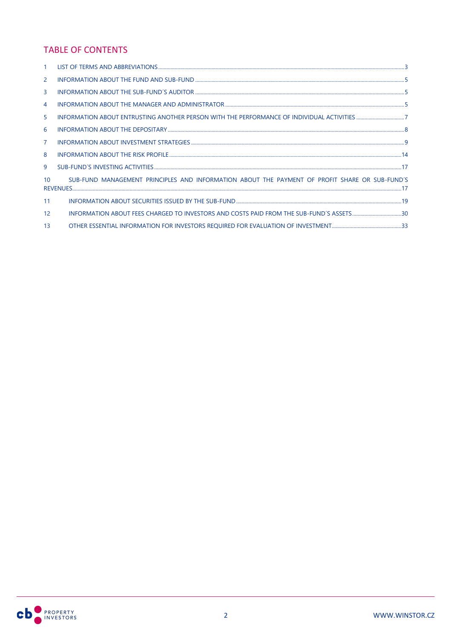# **TABLE OF CONTENTS**

| 2  |                                                                                                |
|----|------------------------------------------------------------------------------------------------|
| 3  |                                                                                                |
| 4  |                                                                                                |
| 5  |                                                                                                |
| 6  |                                                                                                |
| 7  |                                                                                                |
| 8  |                                                                                                |
| 9  |                                                                                                |
| 10 | SUB-FUND MANAGEMENT PRINCIPLES AND INFORMATION ABOUT THE PAYMENT OF PROFIT SHARE OR SUB-FUND'S |
| 11 |                                                                                                |
| 12 | INFORMATION ABOUT FEES CHARGED TO INVESTORS AND COSTS PAID FROM THE SUB-FUND'S ASSETS30        |
| 13 |                                                                                                |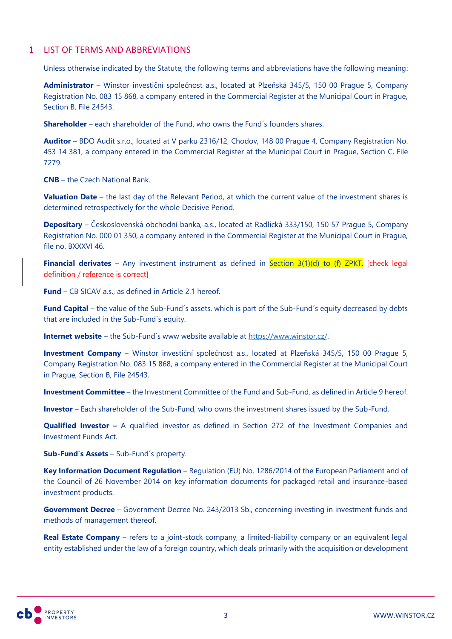# <span id="page-2-0"></span>1 LIST OF TERMS AND ABBREVIATIONS

Unless otherwise indicated by the Statute, the following terms and abbreviations have the following meaning:

**Administrator** – Winstor investiční společnost a.s., located at Plzeňská 345/5, 150 00 Prague 5, Company Registration No. 083 15 868, a company entered in the Commercial Register at the Municipal Court in Prague, Section B, File 24543.

**Shareholder** – each shareholder of the Fund, who owns the Fund's founders shares.

**Auditor** – BDO Audit s.r.o., located at V parku 2316/12, Chodov, 148 00 Prague 4, Company Registration No. 453 14 381, a company entered in the Commercial Register at the Municipal Court in Prague, Section C, File 7279.

**CNB** – the Czech National Bank.

**Valuation Date** – the last day of the Relevant Period, at which the current value of the investment shares is determined retrospectively for the whole Decisive Period.

**Depositary** – Československá obchodní banka, a.s., located at Radlická 333/150, 150 57 Prague 5, Company Registration No. 000 01 350, a company entered in the Commercial Register at the Municipal Court in Prague, file no. BXXXVI 46.

**Financial derivates** – Any investment instrument as defined in Section 3(1)(d) to (f) ZPKT. [check legal definition / reference is correct]

**Fund** – CB SICAV a.s., as defined in Article 2.1 hereof.

Fund Capital – the value of the Sub-Fund's assets, which is part of the Sub-Fund's equity decreased by debts that are included in the Sub-Fund´s equity.

**Internet website** – the Sub-Fund´s www website available at [https://www.winstor.cz/.](https://www.winstor.cz/)

**Investment Company** – Winstor investiční společnost a.s., located at Plzeňská 345/5, 150 00 Prague 5, Company Registration No. 083 15 868, a company entered in the Commercial Register at the Municipal Court in Prague, Section B, File 24543.

**Investment Committee** – the Investment Committee of the Fund and Sub-Fund, as defined in Article 9 hereof.

**Investor** – Each shareholder of the Sub-Fund, who owns the investment shares issued by the Sub-Fund.

**Qualified Investor –** A qualified investor as defined in Section 272 of the Investment Companies and Investment Funds Act.

**Sub-Fund´s Assets** – Sub-Fund´s property.

**Key Information Document Regulation** – Regulation (EU) No. 1286/2014 of the European Parliament and of the Council of 26 November 2014 on key information documents for packaged retail and insurance-based investment products.

**Government Decree** – Government Decree No. 243/2013 Sb., concerning investing in investment funds and methods of management thereof.

**Real Estate Company** – refers to a joint-stock company, a limited-liability company or an equivalent legal entity established under the law of a foreign country, which deals primarily with the acquisition or development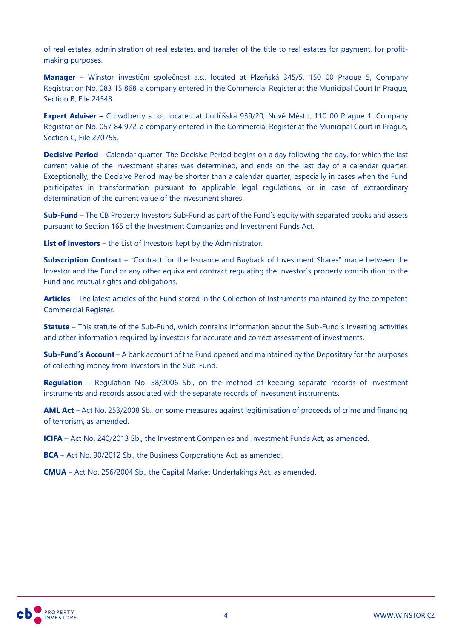of real estates, administration of real estates, and transfer of the title to real estates for payment, for profitmaking purposes.

**Manager** – Winstor investiční společnost a.s., located at Plzeňská 345/5, 150 00 Prague 5, Company Registration No. 083 15 868, a company entered in the Commercial Register at the Municipal Court In Prague, Section B, File 24543.

**Expert Adviser –** Crowdberry s.r.o., located at Jindřišská 939/20, Nové Město, 110 00 Prague 1, Company Registration No. 057 84 972, a company entered in the Commercial Register at the Municipal Court in Prague, Section C, File 270755.

**Decisive Period** – Calendar quarter. The Decisive Period begins on a day following the day, for which the last current value of the investment shares was determined, and ends on the last day of a calendar quarter. Exceptionally, the Decisive Period may be shorter than a calendar quarter, especially in cases when the Fund participates in transformation pursuant to applicable legal regulations, or in case of extraordinary determination of the current value of the investment shares.

**Sub-Fund** – The CB Property Investors Sub-Fund as part of the Fund´s equity with separated books and assets pursuant to Section 165 of the Investment Companies and Investment Funds Act.

**List of Investors** – the List of Investors kept by the Administrator.

**Subscription Contract** – "Contract for the Issuance and Buyback of Investment Shares" made between the Investor and the Fund or any other equivalent contract regulating the Investor´s property contribution to the Fund and mutual rights and obligations.

**Articles** – The latest articles of the Fund stored in the Collection of Instruments maintained by the competent Commercial Register.

**Statute** – This statute of the Sub-Fund, which contains information about the Sub-Fund´s investing activities and other information required by investors for accurate and correct assessment of investments.

**Sub-Fund´s Account** – A bank account of the Fund opened and maintained by the Depositary for the purposes of collecting money from Investors in the Sub-Fund.

**Regulation** – Regulation No. 58/2006 Sb., on the method of keeping separate records of investment instruments and records associated with the separate records of investment instruments.

**AML Act** – Act No. 253/2008 Sb., on some measures against legitimisation of proceeds of crime and financing of terrorism, as amended.

**ICIFA** – Act No. 240/2013 Sb., the Investment Companies and Investment Funds Act, as amended.

**BCA** – Act No. 90/2012 Sb., the Business Corporations Act, as amended.

**CMUA** – Act No. 256/2004 Sb., the Capital Market Undertakings Act, as amended.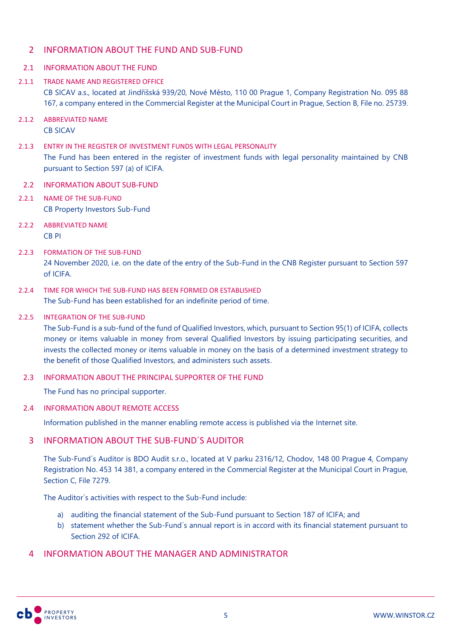# <span id="page-4-0"></span>2 INFORMATION ABOUT THE FUND AND SUB-FUND

### 2.1 INFORMATION ABOUT THE FUND

- 2.1.1 TRADE NAME AND REGISTERED OFFICE CB SICAV a.s., located at Jindřišská 939/20, Nové Město, 110 00 Prague 1, Company Registration No. 095 88 167, a company entered in the Commercial Register at the Municipal Court in Prague, Section B, File no. 25739.
- 2.1.2 ABBREVIATED NAME CB SICAV
- 2.1.3 ENTRY IN THE REGISTER OF INVESTMENT FUNDS WITH LEGAL PERSONALITY The Fund has been entered in the register of investment funds with legal personality maintained by CNB pursuant to Section 597 (a) of ICIFA.

### 2.2 INFORMATION ABOUT SUB-FUND

- 2.2.1 NAME OF THE SUB-FUND CB Property Investors Sub-Fund
- 2.2.2 ABBREVIATED NAME CB PI
- 2.2.3 FORMATION OF THE SUB-FUND 24 November 2020, i.e. on the date of the entry of the Sub-Fund in the CNB Register pursuant to Section 597 of ICIFA.
- 2.2.4 TIME FOR WHICH THE SUB-FUND HAS BEEN FORMED OR ESTABLISHED The Sub-Fund has been established for an indefinite period of time.

#### 2.2.5 INTEGRATION OF THE SUB-FUND

The Sub-Fund is a sub-fund of the fund of Qualified Investors, which, pursuant to Section 95(1) of ICIFA, collects money or items valuable in money from several Qualified Investors by issuing participating securities, and invests the collected money or items valuable in money on the basis of a determined investment strategy to the benefit of those Qualified Investors, and administers such assets.

### 2.3 INFORMATION ABOUT THE PRINCIPAL SUPPORTER OF THE FUND

The Fund has no principal supporter.

### 2.4 INFORMATION ABOUT REMOTE ACCESS

Information published in the manner enabling remote access is published via the Internet site.

# <span id="page-4-1"></span>3 INFORMATION ABOUT THE SUB-FUND´S AUDITOR

The Sub-Fund´s Auditor is BDO Audit s.r.o., located at V parku 2316/12, Chodov, 148 00 Prague 4, Company Registration No. 453 14 381, a company entered in the Commercial Register at the Municipal Court in Prague, Section C, File 7279.

The Auditor´s activities with respect to the Sub-Fund include:

- a) auditing the financial statement of the Sub-Fund pursuant to Section 187 of ICIFA; and
- b) statement whether the Sub-Fund´s annual report is in accord with its financial statement pursuant to Section 292 of ICIFA.

# <span id="page-4-2"></span>4 INFORMATION ABOUT THE MANAGER AND ADMINISTRATOR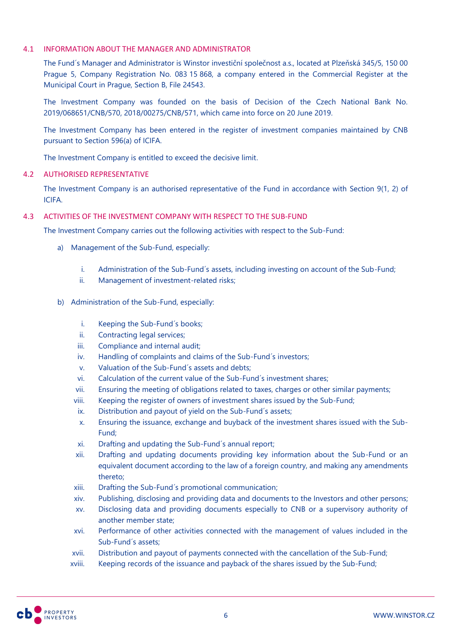### 4.1 INFORMATION ABOUT THE MANAGER AND ADMINISTRATOR

The Fund´s Manager and Administrator is Winstor investiční společnost a.s., located at Plzeňská 345/5, 150 00 Prague 5, Company Registration No. 083 15 868, a company entered in the Commercial Register at the Municipal Court in Prague, Section B, File 24543.

The Investment Company was founded on the basis of Decision of the Czech National Bank No. 2019/068651/CNB/570, 2018/00275/CNB/571, which came into force on 20 June 2019.

The Investment Company has been entered in the register of investment companies maintained by CNB pursuant to Section 596(a) of ICIFA.

The Investment Company is entitled to exceed the decisive limit.

### 4.2 AUTHORISED REPRESENTATIVE

The Investment Company is an authorised representative of the Fund in accordance with Section 9(1, 2) of ICIFA.

### 4.3 ACTIVITIES OF THE INVESTMENT COMPANY WITH RESPECT TO THE SUB-FUND

The Investment Company carries out the following activities with respect to the Sub-Fund:

- a) Management of the Sub-Fund, especially:
	- i. Administration of the Sub-Fund´s assets, including investing on account of the Sub-Fund;
	- ii. Management of investment-related risks;
- b) Administration of the Sub-Fund, especially:
	- i. Keeping the Sub-Fund´s books;
	- ii. Contracting legal services;
	- iii. Compliance and internal audit;
	- iv. Handling of complaints and claims of the Sub-Fund´s investors;
	- v. Valuation of the Sub-Fund´s assets and debts;
	- vi. Calculation of the current value of the Sub-Fund´s investment shares;
	- vii. Ensuring the meeting of obligations related to taxes, charges or other similar payments;
	- viii. Keeping the register of owners of investment shares issued by the Sub-Fund;
	- ix. Distribution and payout of yield on the Sub-Fund´s assets;
	- x. Ensuring the issuance, exchange and buyback of the investment shares issued with the Sub-Fund;
	- xi. Drafting and updating the Sub-Fund´s annual report;
	- xii. Drafting and updating documents providing key information about the Sub-Fund or an equivalent document according to the law of a foreign country, and making any amendments thereto;
	- xiii. Drafting the Sub-Fund´s promotional communication;
	- xiv. Publishing, disclosing and providing data and documents to the Investors and other persons;
	- xv. Disclosing data and providing documents especially to CNB or a supervisory authority of another member state;
	- xvi. Performance of other activities connected with the management of values included in the Sub-Fund´s assets;
	- xvii. Distribution and payout of payments connected with the cancellation of the Sub-Fund;
	- xviii. Keeping records of the issuance and payback of the shares issued by the Sub-Fund;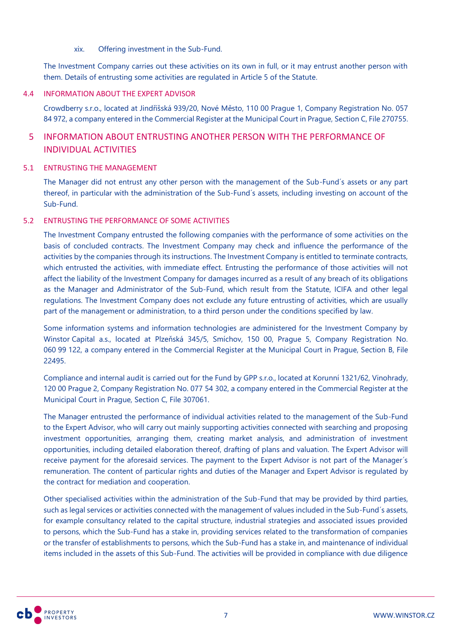### xix. Offering investment in the Sub-Fund.

The Investment Company carries out these activities on its own in full, or it may entrust another person with them. Details of entrusting some activities are regulated in Article 5 of the Statute.

### 4.4 INFORMATION ABOUT THE EXPERT ADVISOR

Crowdberry s.r.o., located at Jindřišská 939/20, Nové Město, 110 00 Prague 1, Company Registration No. 057 84 972, a company entered in the Commercial Register at the Municipal Court in Prague, Section C, File 270755.

# <span id="page-6-0"></span>5 INFORMATION ABOUT ENTRUSTING ANOTHER PERSON WITH THE PERFORMANCE OF INDIVIDUAL ACTIVITIES

### 5.1 ENTRUSTING THE MANAGEMENT

The Manager did not entrust any other person with the management of the Sub-Fund´s assets or any part thereof, in particular with the administration of the Sub-Fund´s assets, including investing on account of the Sub-Fund.

### 5.2 ENTRUSTING THE PERFORMANCE OF SOME ACTIVITIES

The Investment Company entrusted the following companies with the performance of some activities on the basis of concluded contracts. The Investment Company may check and influence the performance of the activities by the companies through its instructions. The Investment Company is entitled to terminate contracts, which entrusted the activities, with immediate effect. Entrusting the performance of those activities will not affect the liability of the Investment Company for damages incurred as a result of any breach of its obligations as the Manager and Administrator of the Sub-Fund, which result from the Statute, ICIFA and other legal regulations. The Investment Company does not exclude any future entrusting of activities, which are usually part of the management or administration, to a third person under the conditions specified by law.

Some information systems and information technologies are administered for the Investment Company by Winstor Capital a.s., located at Plzeňská 345/5, Smíchov, 150 00, Prague 5, Company Registration No. 060 99 122, a company entered in the Commercial Register at the Municipal Court in Prague, Section B, File 22495.

Compliance and internal audit is carried out for the Fund by GPP s.r.o., located at Korunní 1321/62, Vinohrady, 120 00 Prague 2, Company Registration No. 077 54 302, a company entered in the Commercial Register at the Municipal Court in Prague, Section C, File 307061.

The Manager entrusted the performance of individual activities related to the management of the Sub-Fund to the Expert Advisor, who will carry out mainly supporting activities connected with searching and proposing investment opportunities, arranging them, creating market analysis, and administration of investment opportunities, including detailed elaboration thereof, drafting of plans and valuation. The Expert Advisor will receive payment for the aforesaid services. The payment to the Expert Advisor is not part of the Manager´s remuneration. The content of particular rights and duties of the Manager and Expert Advisor is regulated by the contract for mediation and cooperation.

Other specialised activities within the administration of the Sub-Fund that may be provided by third parties, such as legal services or activities connected with the management of values included in the Sub-Fund´s assets, for example consultancy related to the capital structure, industrial strategies and associated issues provided to persons, which the Sub-Fund has a stake in, providing services related to the transformation of companies or the transfer of establishments to persons, which the Sub-Fund has a stake in, and maintenance of individual items included in the assets of this Sub-Fund. The activities will be provided in compliance with due diligence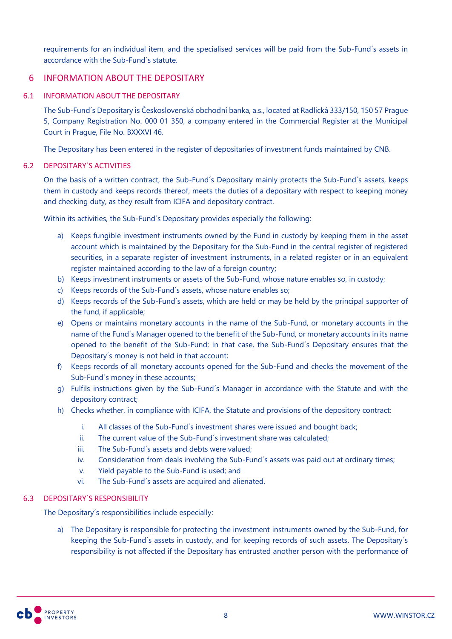requirements for an individual item, and the specialised services will be paid from the Sub-Fund´s assets in accordance with the Sub-Fund´s statute.

# <span id="page-7-0"></span>6 INFORMATION ABOUT THE DEPOSITARY

### 6.1 INFORMATION ABOUT THE DEPOSITARY

The Sub-Fund´s Depositary is Československá obchodní banka, a.s., located at Radlická 333/150, 150 57 Prague 5, Company Registration No. 000 01 350, a company entered in the Commercial Register at the Municipal Court in Prague, File No. BXXXVI 46.

The Depositary has been entered in the register of depositaries of investment funds maintained by CNB.

# 6.2 DEPOSITARY´S ACTIVITIES

On the basis of a written contract, the Sub-Fund´s Depositary mainly protects the Sub-Fund´s assets, keeps them in custody and keeps records thereof, meets the duties of a depositary with respect to keeping money and checking duty, as they result from ICIFA and depository contract.

Within its activities, the Sub-Fund´s Depositary provides especially the following:

- a) Keeps fungible investment instruments owned by the Fund in custody by keeping them in the asset account which is maintained by the Depositary for the Sub-Fund in the central register of registered securities, in a separate register of investment instruments, in a related register or in an equivalent register maintained according to the law of a foreign country;
- b) Keeps investment instruments or assets of the Sub-Fund, whose nature enables so, in custody;
- c) Keeps records of the Sub-Fund´s assets, whose nature enables so;
- d) Keeps records of the Sub-Fund´s assets, which are held or may be held by the principal supporter of the fund, if applicable;
- e) Opens or maintains monetary accounts in the name of the Sub-Fund, or monetary accounts in the name of the Fund´s Manager opened to the benefit of the Sub-Fund, or monetary accounts in its name opened to the benefit of the Sub-Fund; in that case, the Sub-Fund´s Depositary ensures that the Depositary´s money is not held in that account;
- f) Keeps records of all monetary accounts opened for the Sub-Fund and checks the movement of the Sub-Fund´s money in these accounts;
- g) Fulfils instructions given by the Sub-Fund´s Manager in accordance with the Statute and with the depository contract;
- h) Checks whether, in compliance with ICIFA, the Statute and provisions of the depository contract:
	- i. All classes of the Sub-Fund´s investment shares were issued and bought back;
	- ii. The current value of the Sub-Fund´s investment share was calculated;
	- iii. The Sub-Fund's assets and debts were valued:
	- iv. Consideration from deals involving the Sub-Fund´s assets was paid out at ordinary times;
	- v. Yield payable to the Sub-Fund is used; and
	- vi. The Sub-Fund´s assets are acquired and alienated.

# 6.3 DEPOSITARY´S RESPONSIBILITY

The Depositary´s responsibilities include especially:

a) The Depositary is responsible for protecting the investment instruments owned by the Sub-Fund, for keeping the Sub-Fund´s assets in custody, and for keeping records of such assets. The Depositary´s responsibility is not affected if the Depositary has entrusted another person with the performance of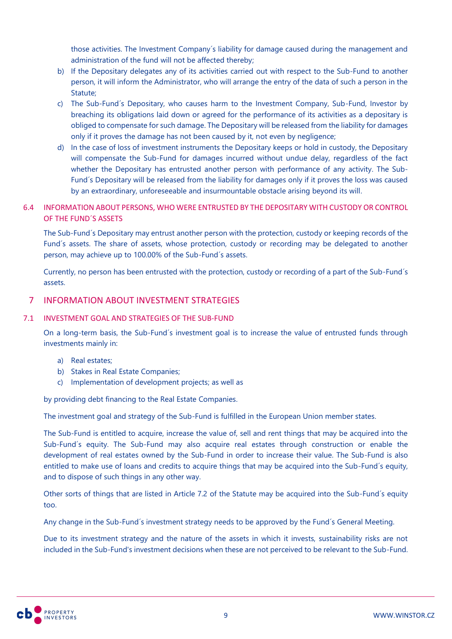those activities. The Investment Company´s liability for damage caused during the management and administration of the fund will not be affected thereby;

- b) If the Depositary delegates any of its activities carried out with respect to the Sub-Fund to another person, it will inform the Administrator, who will arrange the entry of the data of such a person in the Statute;
- c) The Sub-Fund´s Depositary, who causes harm to the Investment Company, Sub-Fund, Investor by breaching its obligations laid down or agreed for the performance of its activities as a depositary is obliged to compensate for such damage. The Depositary will be released from the liability for damages only if it proves the damage has not been caused by it, not even by negligence;
- d) In the case of loss of investment instruments the Depositary keeps or hold in custody, the Depositary will compensate the Sub-Fund for damages incurred without undue delay, regardless of the fact whether the Depositary has entrusted another person with performance of any activity. The Sub-Fund´s Depositary will be released from the liability for damages only if it proves the loss was caused by an extraordinary, unforeseeable and insurmountable obstacle arising beyond its will.

# 6.4 INFORMATION ABOUT PERSONS, WHO WERE ENTRUSTED BY THE DEPOSITARY WITH CUSTODY OR CONTROL OF THE FUND´S ASSETS

The Sub-Fund´s Depositary may entrust another person with the protection, custody or keeping records of the Fund´s assets. The share of assets, whose protection, custody or recording may be delegated to another person, may achieve up to 100.00% of the Sub-Fund´s assets.

Currently, no person has been entrusted with the protection, custody or recording of a part of the Sub-Fund´s assets.

# <span id="page-8-0"></span>7 INFORMATION ABOUT INVESTMENT STRATEGIES

### 7.1 INVESTMENT GOAL AND STRATEGIES OF THE SUB-FUND

On a long-term basis, the Sub-Fund´s investment goal is to increase the value of entrusted funds through investments mainly in:

- a) Real estates;
- b) Stakes in Real Estate Companies;
- c) Implementation of development projects; as well as

by providing debt financing to the Real Estate Companies.

The investment goal and strategy of the Sub-Fund is fulfilled in the European Union member states.

The Sub-Fund is entitled to acquire, increase the value of, sell and rent things that may be acquired into the Sub-Fund´s equity. The Sub-Fund may also acquire real estates through construction or enable the development of real estates owned by the Sub-Fund in order to increase their value. The Sub-Fund is also entitled to make use of loans and credits to acquire things that may be acquired into the Sub-Fund´s equity, and to dispose of such things in any other way.

Other sorts of things that are listed in Article 7.2 of the Statute may be acquired into the Sub-Fund´s equity too.

Any change in the Sub-Fund´s investment strategy needs to be approved by the Fund´s General Meeting.

Due to its investment strategy and the nature of the assets in which it invests, sustainability risks are not included in the Sub-Fund's investment decisions when these are not perceived to be relevant to the Sub-Fund.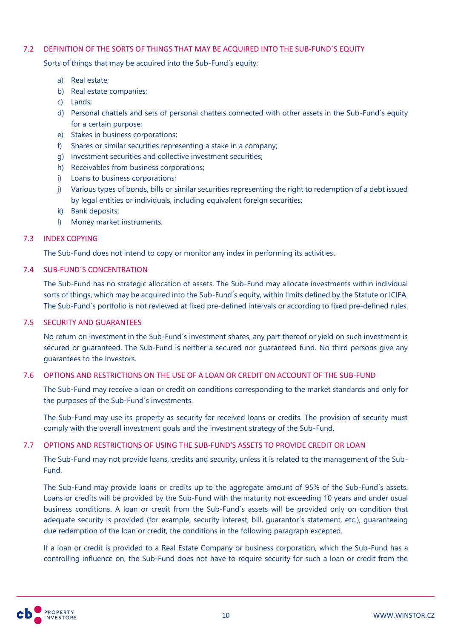### 7.2 DEFINITION OF THE SORTS OF THINGS THAT MAY BE ACQUIRED INTO THE SUB-FUND´S EQUITY

Sorts of things that may be acquired into the Sub-Fund´s equity:

- a) Real estate;
- b) Real estate companies;
- c) Lands;
- d) Personal chattels and sets of personal chattels connected with other assets in the Sub-Fund´s equity for a certain purpose;
- e) Stakes in business corporations;
- f) Shares or similar securities representing a stake in a company;
- g) Investment securities and collective investment securities;
- h) Receivables from business corporations;
- i) Loans to business corporations;
- j) Various types of bonds, bills or similar securities representing the right to redemption of a debt issued by legal entities or individuals, including equivalent foreign securities;
- k) Bank deposits;
- l) Money market instruments.

### 7.3 INDEX COPYING

The Sub-Fund does not intend to copy or monitor any index in performing its activities.

### 7.4 SUB-FUND´S CONCENTRATION

The Sub-Fund has no strategic allocation of assets. The Sub-Fund may allocate investments within individual sorts of things, which may be acquired into the Sub-Fund´s equity, within limits defined by the Statute or ICIFA. The Sub-Fund´s portfolio is not reviewed at fixed pre-defined intervals or according to fixed pre-defined rules.

### 7.5 SECURITY AND GUARANTEES

No return on investment in the Sub-Fund´s investment shares, any part thereof or yield on such investment is secured or guaranteed. The Sub-Fund is neither a secured nor guaranteed fund. No third persons give any guarantees to the Investors.

### 7.6 OPTIONS AND RESTRICTIONS ON THE USE OF A LOAN OR CREDIT ON ACCOUNT OF THE SUB-FUND

The Sub-Fund may receive a loan or credit on conditions corresponding to the market standards and only for the purposes of the Sub-Fund´s investments.

The Sub-Fund may use its property as security for received loans or credits. The provision of security must comply with the overall investment goals and the investment strategy of the Sub-Fund.

### 7.7 OPTIONS AND RESTRICTIONS OF USING THE SUB-FUND'S ASSETS TO PROVIDE CREDIT OR LOAN

The Sub-Fund may not provide loans, credits and security, unless it is related to the management of the Sub-Fund.

The Sub-Fund may provide loans or credits up to the aggregate amount of 95% of the Sub-Fund´s assets. Loans or credits will be provided by the Sub-Fund with the maturity not exceeding 10 years and under usual business conditions. A loan or credit from the Sub-Fund´s assets will be provided only on condition that adequate security is provided (for example, security interest, bill, guarantor´s statement, etc.), guaranteeing due redemption of the loan or credit, the conditions in the following paragraph excepted.

If a loan or credit is provided to a Real Estate Company or business corporation, which the Sub-Fund has a controlling influence on, the Sub-Fund does not have to require security for such a loan or credit from the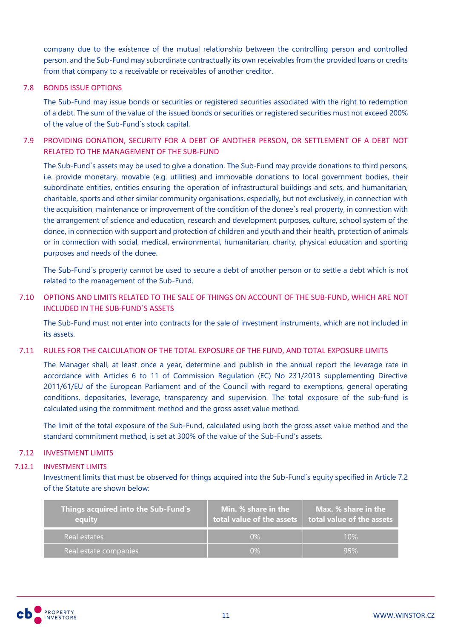company due to the existence of the mutual relationship between the controlling person and controlled person, and the Sub-Fund may subordinate contractually its own receivables from the provided loans or credits from that company to a receivable or receivables of another creditor.

### 7.8 BONDS ISSUE OPTIONS

The Sub-Fund may issue bonds or securities or registered securities associated with the right to redemption of a debt. The sum of the value of the issued bonds or securities or registered securities must not exceed 200% of the value of the Sub-Fund´s stock capital.

# 7.9 PROVIDING DONATION, SECURITY FOR A DEBT OF ANOTHER PERSON, OR SETTLEMENT OF A DEBT NOT RELATED TO THE MANAGEMENT OF THE SUB-FUND

The Sub-Fund´s assets may be used to give a donation. The Sub-Fund may provide donations to third persons, i.e. provide monetary, movable (e.g. utilities) and immovable donations to local government bodies, their subordinate entities, entities ensuring the operation of infrastructural buildings and sets, and humanitarian, charitable, sports and other similar community organisations, especially, but not exclusively, in connection with the acquisition, maintenance or improvement of the condition of the donee´s real property, in connection with the arrangement of science and education, research and development purposes, culture, school system of the donee, in connection with support and protection of children and youth and their health, protection of animals or in connection with social, medical, environmental, humanitarian, charity, physical education and sporting purposes and needs of the donee.

The Sub-Fund´s property cannot be used to secure a debt of another person or to settle a debt which is not related to the management of the Sub-Fund.

# 7.10 OPTIONS AND LIMITS RELATED TO THE SALE OF THINGS ON ACCOUNT OF THE SUB-FUND, WHICH ARE NOT INCLUDED IN THE SUB-FUND´S ASSETS

The Sub-Fund must not enter into contracts for the sale of investment instruments, which are not included in its assets.

### 7.11 RULES FOR THE CALCULATION OF THE TOTAL EXPOSURE OF THE FUND, AND TOTAL EXPOSURE LIMITS

The Manager shall, at least once a year, determine and publish in the annual report the leverage rate in accordance with Articles 6 to 11 of Commission Regulation (EC) No 231/2013 supplementing Directive 2011/61/EU of the European Parliament and of the Council with regard to exemptions, general operating conditions, depositaries, leverage, transparency and supervision. The total exposure of the sub-fund is calculated using the commitment method and the gross asset value method.

The limit of the total exposure of the Sub-Fund, calculated using both the gross asset value method and the standard commitment method, is set at 300% of the value of the Sub-Fund's assets.

# 7.12 INVESTMENT LIMITS

### 7.12.1 INVESTMENT LIMITS

Investment limits that must be observed for things acquired into the Sub-Fund´s equity specified in Article 7.2 of the Statute are shown below:

| Things acquired into the Sub-Fund´s<br>equity | Min. % share in the<br>total value of the assets | Max. % share i <u>n the </u><br>total value of the assets |
|-----------------------------------------------|--------------------------------------------------|-----------------------------------------------------------|
| Real estates                                  | $0\%$                                            | 10%                                                       |
| Real estate companies                         | $0\%$                                            | 95%                                                       |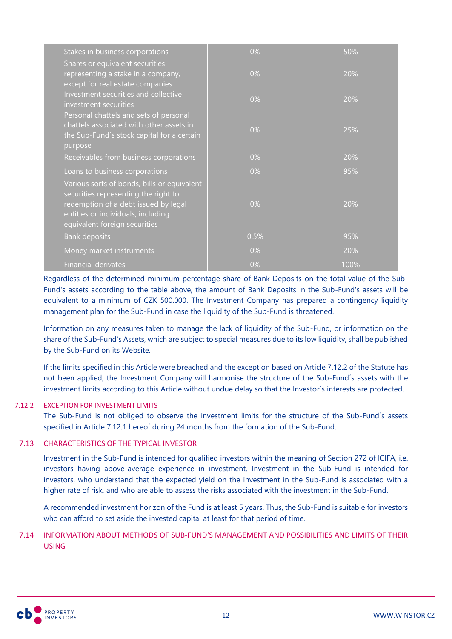| Stakes in business corporations                                                                                                                                                                    | 0%    | 50%  |
|----------------------------------------------------------------------------------------------------------------------------------------------------------------------------------------------------|-------|------|
| Shares or equivalent securities<br>representing a stake in a company,<br>except for real estate companies                                                                                          | 0%    | 20%  |
| Investment securities and collective<br>investment securities                                                                                                                                      | 0%    | 20%  |
| Personal chattels and sets of personal<br>chattels associated with other assets in<br>the Sub-Fund's stock capital for a certain<br>purpose                                                        | $0\%$ | 25%  |
| Receivables from business corporations                                                                                                                                                             | 0%    | 20%  |
| Loans to business corporations                                                                                                                                                                     | 0%    | 95%  |
| Various sorts of bonds, bills or equivalent<br>securities representing the right to<br>redemption of a debt issued by legal<br>entities or individuals, including<br>equivalent foreign securities | 0%    | 20%  |
| <b>Bank deposits</b>                                                                                                                                                                               | 0.5%  | 95%  |
| Money market instruments                                                                                                                                                                           | 0%    | 20%  |
| <b>Financial derivates</b>                                                                                                                                                                         | 0%    | 100% |

Regardless of the determined minimum percentage share of Bank Deposits on the total value of the Sub-Fund's assets according to the table above, the amount of Bank Deposits in the Sub-Fund's assets will be equivalent to a minimum of CZK 500.000. The Investment Company has prepared a contingency liquidity management plan for the Sub-Fund in case the liquidity of the Sub-Fund is threatened.

Information on any measures taken to manage the lack of liquidity of the Sub-Fund, or information on the share of the Sub-Fund's Assets, which are subject to special measures due to its low liquidity, shall be published by the Sub-Fund on its Website.

If the limits specified in this Article were breached and the exception based on Article 7.12.2 of the Statute has not been applied, the Investment Company will harmonise the structure of the Sub-Fund´s assets with the investment limits according to this Article without undue delay so that the Investor´s interests are protected.

### 7.12.2 EXCEPTION FOR INVESTMENT LIMITS

The Sub-Fund is not obliged to observe the investment limits for the structure of the Sub-Fund´s assets specified in Article 7.12.1 hereof during 24 months from the formation of the Sub-Fund.

### 7.13 CHARACTERISTICS OF THE TYPICAL INVESTOR

Investment in the Sub-Fund is intended for qualified investors within the meaning of Section 272 of ICIFA, i.e. investors having above-average experience in investment. Investment in the Sub-Fund is intended for investors, who understand that the expected yield on the investment in the Sub-Fund is associated with a higher rate of risk, and who are able to assess the risks associated with the investment in the Sub-Fund.

A recommended investment horizon of the Fund is at least 5 years. Thus, the Sub-Fund is suitable for investors who can afford to set aside the invested capital at least for that period of time.

# 7.14 INFORMATION ABOUT METHODS OF SUB-FUND'S MANAGEMENT AND POSSIBILITIES AND LIMITS OF THEIR USING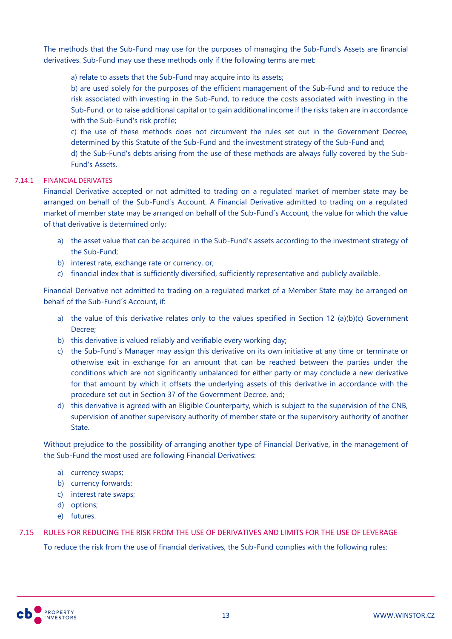The methods that the Sub-Fund may use for the purposes of managing the Sub-Fund's Assets are financial derivatives. Sub-Fund may use these methods only if the following terms are met:

a) relate to assets that the Sub-Fund may acquire into its assets;

b) are used solely for the purposes of the efficient management of the Sub-Fund and to reduce the risk associated with investing in the Sub-Fund, to reduce the costs associated with investing in the Sub-Fund, or to raise additional capital or to gain additional income if the risks taken are in accordance with the Sub-Fund's risk profile;

c) the use of these methods does not circumvent the rules set out in the Government Decree, determined by this Statute of the Sub-Fund and the investment strategy of the Sub-Fund and;

d) the Sub-Fund's debts arising from the use of these methods are always fully covered by the Sub-Fund's Assets.

# 7.14.1 FINANCIAL DERIVATES

Financial Derivative accepted or not admitted to trading on a regulated market of member state may be arranged on behalf of the Sub-Fund´s Account. A Financial Derivative admitted to trading on a regulated market of member state may be arranged on behalf of the Sub-Fund´s Account, the value for which the value of that derivative is determined only:

- a) the asset value that can be acquired in the Sub-Fund's assets according to the investment strategy of the Sub-Fund;
- b) interest rate, exchange rate or currency, or:
- c) financial index that is sufficiently diversified, sufficiently representative and publicly available.

Financial Derivative not admitted to trading on a regulated market of a Member State may be arranged on behalf of the Sub-Fund´s Account, if:

- a) the value of this derivative relates only to the values specified in Section 12 (a)(b)(c) Government Decree;
- b) this derivative is valued reliably and verifiable every working day;
- c) the Sub-Fund´s Manager may assign this derivative on its own initiative at any time or terminate or otherwise exit in exchange for an amount that can be reached between the parties under the conditions which are not significantly unbalanced for either party or may conclude a new derivative for that amount by which it offsets the underlying assets of this derivative in accordance with the procedure set out in Section 37 of the Government Decree, and;
- d) this derivative is agreed with an Eligible Counterparty, which is subject to the supervision of the CNB, supervision of another supervisory authority of member state or the supervisory authority of another State.

Without prejudice to the possibility of arranging another type of Financial Derivative, in the management of the Sub-Fund the most used are following Financial Derivatives:

- a) currency swaps;
- b) currency forwards;
- c) interest rate swaps;
- d) options;
- e) futures.

# 7.15 RULES FOR REDUCING THE RISK FROM THE USE OF DERIVATIVES AND LIMITS FOR THE USE OF LEVERAGE

To reduce the risk from the use of financial derivatives, the Sub-Fund complies with the following rules: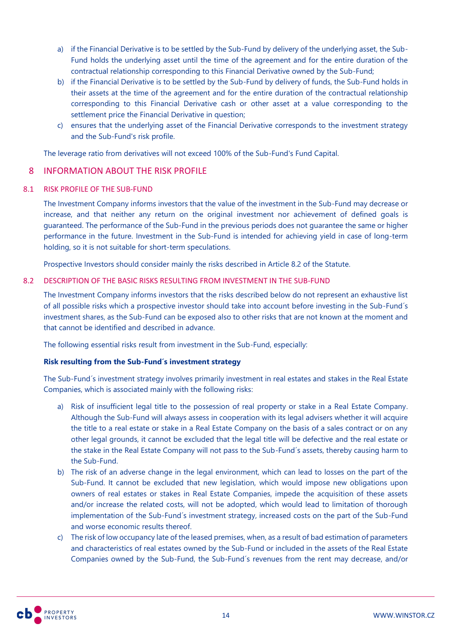- a) if the Financial Derivative is to be settled by the Sub-Fund by delivery of the underlying asset, the Sub-Fund holds the underlying asset until the time of the agreement and for the entire duration of the contractual relationship corresponding to this Financial Derivative owned by the Sub-Fund;
- b) if the Financial Derivative is to be settled by the Sub-Fund by delivery of funds, the Sub-Fund holds in their assets at the time of the agreement and for the entire duration of the contractual relationship corresponding to this Financial Derivative cash or other asset at a value corresponding to the settlement price the Financial Derivative in question;
- c) ensures that the underlying asset of the Financial Derivative corresponds to the investment strategy and the Sub-Fund's risk profile.

The leverage ratio from derivatives will not exceed 100% of the Sub-Fund's Fund Capital.

# <span id="page-13-0"></span>8 INFORMATION ABOUT THE RISK PROFILE

# 8.1 RISK PROFILE OF THE SUB-FUND

The Investment Company informs investors that the value of the investment in the Sub-Fund may decrease or increase, and that neither any return on the original investment nor achievement of defined goals is guaranteed. The performance of the Sub-Fund in the previous periods does not guarantee the same or higher performance in the future. Investment in the Sub-Fund is intended for achieving yield in case of long-term holding, so it is not suitable for short-term speculations.

Prospective Investors should consider mainly the risks described in Article 8.2 of the Statute.

### 8.2 DESCRIPTION OF THE BASIC RISKS RESULTING FROM INVESTMENT IN THE SUB-FUND

The Investment Company informs investors that the risks described below do not represent an exhaustive list of all possible risks which a prospective investor should take into account before investing in the Sub-Fund´s investment shares, as the Sub-Fund can be exposed also to other risks that are not known at the moment and that cannot be identified and described in advance.

The following essential risks result from investment in the Sub-Fund, especially:

# **Risk resulting from the Sub-Fund´s investment strategy**

The Sub-Fund´s investment strategy involves primarily investment in real estates and stakes in the Real Estate Companies, which is associated mainly with the following risks:

- a) Risk of insufficient legal title to the possession of real property or stake in a Real Estate Company. Although the Sub-Fund will always assess in cooperation with its legal advisers whether it will acquire the title to a real estate or stake in a Real Estate Company on the basis of a sales contract or on any other legal grounds, it cannot be excluded that the legal title will be defective and the real estate or the stake in the Real Estate Company will not pass to the Sub-Fund´s assets, thereby causing harm to the Sub-Fund.
- b) The risk of an adverse change in the legal environment, which can lead to losses on the part of the Sub-Fund. It cannot be excluded that new legislation, which would impose new obligations upon owners of real estates or stakes in Real Estate Companies, impede the acquisition of these assets and/or increase the related costs, will not be adopted, which would lead to limitation of thorough implementation of the Sub-Fund´s investment strategy, increased costs on the part of the Sub-Fund and worse economic results thereof.
- c) The risk of low occupancy late of the leased premises, when, as a result of bad estimation of parameters and characteristics of real estates owned by the Sub-Fund or included in the assets of the Real Estate Companies owned by the Sub-Fund, the Sub-Fund´s revenues from the rent may decrease, and/or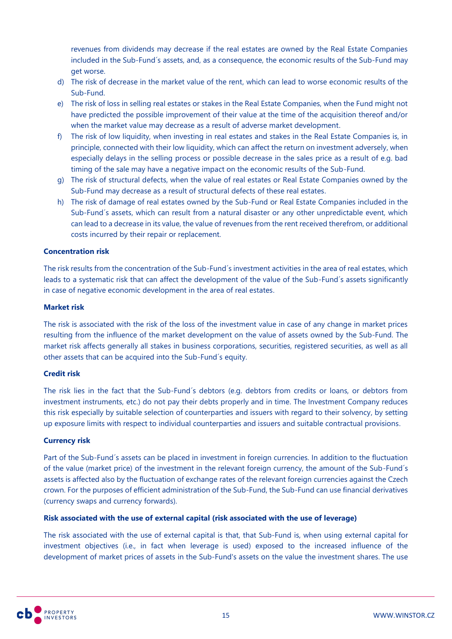revenues from dividends may decrease if the real estates are owned by the Real Estate Companies included in the Sub-Fund´s assets, and, as a consequence, the economic results of the Sub-Fund may get worse.

- d) The risk of decrease in the market value of the rent, which can lead to worse economic results of the Sub-Fund.
- e) The risk of loss in selling real estates or stakes in the Real Estate Companies, when the Fund might not have predicted the possible improvement of their value at the time of the acquisition thereof and/or when the market value may decrease as a result of adverse market development.
- f) The risk of low liquidity, when investing in real estates and stakes in the Real Estate Companies is, in principle, connected with their low liquidity, which can affect the return on investment adversely, when especially delays in the selling process or possible decrease in the sales price as a result of e.g. bad timing of the sale may have a negative impact on the economic results of the Sub-Fund.
- g) The risk of structural defects, when the value of real estates or Real Estate Companies owned by the Sub-Fund may decrease as a result of structural defects of these real estates.
- h) The risk of damage of real estates owned by the Sub-Fund or Real Estate Companies included in the Sub-Fund´s assets, which can result from a natural disaster or any other unpredictable event, which can lead to a decrease in its value, the value of revenues from the rent received therefrom, or additional costs incurred by their repair or replacement.

### **Concentration risk**

The risk results from the concentration of the Sub-Fund´s investment activities in the area of real estates, which leads to a systematic risk that can affect the development of the value of the Sub-Fund´s assets significantly in case of negative economic development in the area of real estates.

### **Market risk**

The risk is associated with the risk of the loss of the investment value in case of any change in market prices resulting from the influence of the market development on the value of assets owned by the Sub-Fund. The market risk affects generally all stakes in business corporations, securities, registered securities, as well as all other assets that can be acquired into the Sub-Fund´s equity.

### **Credit risk**

The risk lies in the fact that the Sub-Fund´s debtors (e.g. debtors from credits or loans, or debtors from investment instruments, etc.) do not pay their debts properly and in time. The Investment Company reduces this risk especially by suitable selection of counterparties and issuers with regard to their solvency, by setting up exposure limits with respect to individual counterparties and issuers and suitable contractual provisions.

### **Currency risk**

Part of the Sub-Fund´s assets can be placed in investment in foreign currencies. In addition to the fluctuation of the value (market price) of the investment in the relevant foreign currency, the amount of the Sub-Fund´s assets is affected also by the fluctuation of exchange rates of the relevant foreign currencies against the Czech crown. For the purposes of efficient administration of the Sub-Fund, the Sub-Fund can use financial derivatives (currency swaps and currency forwards).

# **Risk associated with the use of external capital (risk associated with the use of leverage)**

The risk associated with the use of external capital is that, that Sub-Fund is, when using external capital for investment objectives (i.e., in fact when leverage is used) exposed to the increased influence of the development of market prices of assets in the Sub-Fund's assets on the value the investment shares. The use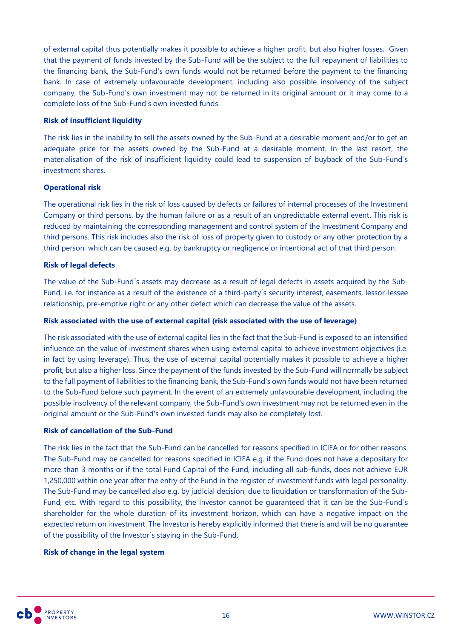of external capital thus potentially makes it possible to achieve a higher profit, but also higher losses. Given that the payment of funds invested by the Sub-Fund will be the subject to the full repayment of liabilities to the financing bank, the Sub-Fund's own funds would not be returned before the payment to the financing bank. In case of extremely unfavourable development, including also possible insolvency of the subject company, the Sub-Fund's own investment may not be returned in its original amount or it may come to a complete loss of the Sub-Fund's own invested funds.

### **Risk of insufficient liquidity**

The risk lies in the inability to sell the assets owned by the Sub-Fund at a desirable moment and/or to get an adequate price for the assets owned by the Sub-Fund at a desirable moment. In the last resort, the materialisation of the risk of insufficient liquidity could lead to suspension of buyback of the Sub-Fund´s investment shares.

### **Operational risk**

The operational risk lies in the risk of loss caused by defects or failures of internal processes of the Investment Company or third persons, by the human failure or as a result of an unpredictable external event. This risk is reduced by maintaining the corresponding management and control system of the Investment Company and third persons. This risk includes also the risk of loss of property given to custody or any other protection by a third person, which can be caused e.g. by bankruptcy or negligence or intentional act of that third person.

### **Risk of legal defects**

The value of the Sub-Fund´s assets may decrease as a result of legal defects in assets acquired by the Sub-Fund, i.e. for instance as a result of the existence of a third-party´s security interest, easements, lessor-lessee relationship, pre-emptive right or any other defect which can decrease the value of the assets.

### **Risk associated with the use of external capital (risk associated with the use of leverage)**

The risk associated with the use of external capital lies in the fact that the Sub-Fund is exposed to an intensified influence on the value of investment shares when using external capital to achieve investment objectives (i.e. in fact by using leverage). Thus, the use of external capital potentially makes it possible to achieve a higher profit, but also a higher loss. Since the payment of the funds invested by the Sub-Fund will normally be subject to the full payment of liabilities to the financing bank, the Sub-Fund's own funds would not have been returned to the Sub-Fund before such payment. In the event of an extremely unfavourable development, including the possible insolvency of the relevant company, the Sub-Fund's own investment may not be returned even in the original amount or the Sub-Fund's own invested funds may also be completely lost.

### **Risk of cancellation of the Sub-Fund**

The risk lies in the fact that the Sub-Fund can be cancelled for reasons specified in ICIFA or for other reasons. The Sub-Fund may be cancelled for reasons specified in ICIFA e.g. if the Fund does not have a depositary for more than 3 months or if the total Fund Capital of the Fund, including all sub-funds, does not achieve EUR 1,250,000 within one year after the entry of the Fund in the register of investment funds with legal personality. The Sub-Fund may be cancelled also e.g. by judicial decision, due to liquidation or transformation of the Sub-Fund, etc. With regard to this possibility, the Investor cannot be guaranteed that it can be the Sub-Fund´s shareholder for the whole duration of its investment horizon, which can have a negative impact on the expected return on investment. The Investor is hereby explicitly informed that there is and will be no guarantee of the possibility of the Investor´s staying in the Sub-Fund.

### **Risk of change in the legal system**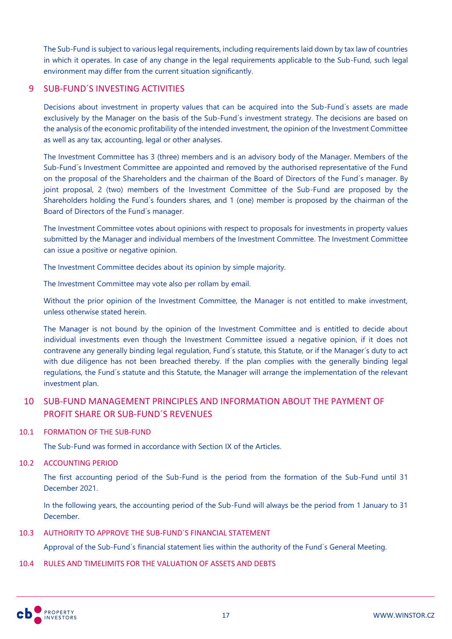The Sub-Fund is subject to various legal requirements, including requirements laid down by tax law of countries in which it operates. In case of any change in the legal requirements applicable to the Sub-Fund, such legal environment may differ from the current situation significantly.

# <span id="page-16-0"></span>9 SUB-FUND´S INVESTING ACTIVITIES

Decisions about investment in property values that can be acquired into the Sub-Fund´s assets are made exclusively by the Manager on the basis of the Sub-Fund´s investment strategy. The decisions are based on the analysis of the economic profitability of the intended investment, the opinion of the Investment Committee as well as any tax, accounting, legal or other analyses.

The Investment Committee has 3 (three) members and is an advisory body of the Manager. Members of the Sub-Fund´s Investment Committee are appointed and removed by the authorised representative of the Fund on the proposal of the Shareholders and the chairman of the Board of Directors of the Fund´s manager. By joint proposal, 2 (two) members of the Investment Committee of the Sub-Fund are proposed by the Shareholders holding the Fund´s founders shares, and 1 (one) member is proposed by the chairman of the Board of Directors of the Fund´s manager.

The Investment Committee votes about opinions with respect to proposals for investments in property values submitted by the Manager and individual members of the Investment Committee. The Investment Committee can issue a positive or negative opinion.

The Investment Committee decides about its opinion by simple majority.

The Investment Committee may vote also per rollam by email.

Without the prior opinion of the Investment Committee, the Manager is not entitled to make investment, unless otherwise stated herein.

The Manager is not bound by the opinion of the Investment Committee and is entitled to decide about individual investments even though the Investment Committee issued a negative opinion, if it does not contravene any generally binding legal regulation, Fund´s statute, this Statute, or if the Manager´s duty to act with due diligence has not been breached thereby. If the plan complies with the generally binding legal regulations, the Fund´s statute and this Statute, the Manager will arrange the implementation of the relevant investment plan.

# <span id="page-16-1"></span>10 SUB-FUND MANAGEMENT PRINCIPLES AND INFORMATION ABOUT THE PAYMENT OF PROFIT SHARE OR SUB-FUND´S REVENUES

### 10.1 FORMATION OF THE SUB-FUND

The Sub-Fund was formed in accordance with Section IX of the Articles.

### 10.2 ACCOUNTING PERIOD

The first accounting period of the Sub-Fund is the period from the formation of the Sub-Fund until 31 December 2021.

In the following years, the accounting period of the Sub-Fund will always be the period from 1 January to 31 December.

# 10.3 AUTHORITY TO APPROVE THE SUB-FUND´S FINANCIAL STATEMENT

Approval of the Sub-Fund´s financial statement lies within the authority of the Fund´s General Meeting.

### 10.4 RULES AND TIMELIMITS FOR THE VALUATION OF ASSETS AND DEBTS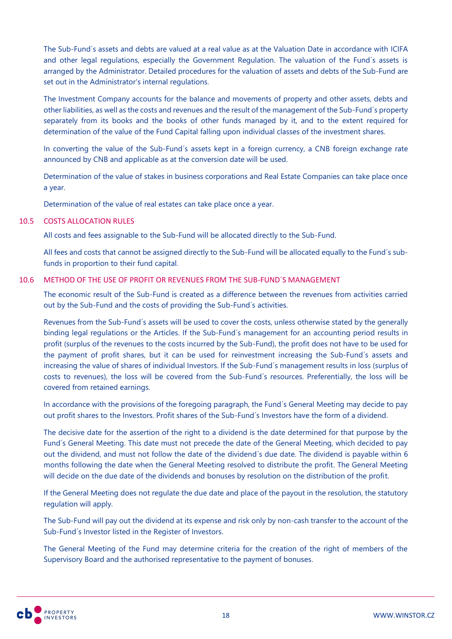The Sub-Fund´s assets and debts are valued at a real value as at the Valuation Date in accordance with ICIFA and other legal regulations, especially the Government Regulation. The valuation of the Fund´s assets is arranged by the Administrator. Detailed procedures for the valuation of assets and debts of the Sub-Fund are set out in the Administrator's internal regulations.

The Investment Company accounts for the balance and movements of property and other assets, debts and other liabilities, as well as the costs and revenues and the result of the management of the Sub-Fund´s property separately from its books and the books of other funds managed by it, and to the extent required for determination of the value of the Fund Capital falling upon individual classes of the investment shares.

In converting the value of the Sub-Fund's assets kept in a foreign currency, a CNB foreign exchange rate announced by CNB and applicable as at the conversion date will be used.

Determination of the value of stakes in business corporations and Real Estate Companies can take place once a year.

Determination of the value of real estates can take place once a year.

### 10.5 COSTS ALLOCATION RULES

All costs and fees assignable to the Sub-Fund will be allocated directly to the Sub-Fund.

All fees and costs that cannot be assigned directly to the Sub-Fund will be allocated equally to the Fund´s subfunds in proportion to their fund capital.

### 10.6 METHOD OF THE USE OF PROFIT OR REVENUES FROM THE SUB-FUND´S MANAGEMENT

The economic result of the Sub-Fund is created as a difference between the revenues from activities carried out by the Sub-Fund and the costs of providing the Sub-Fund´s activities.

Revenues from the Sub-Fund´s assets will be used to cover the costs, unless otherwise stated by the generally binding legal regulations or the Articles. If the Sub-Fund´s management for an accounting period results in profit (surplus of the revenues to the costs incurred by the Sub-Fund), the profit does not have to be used for the payment of profit shares, but it can be used for reinvestment increasing the Sub-Fund´s assets and increasing the value of shares of individual Investors. If the Sub-Fund´s management results in loss (surplus of costs to revenues), the loss will be covered from the Sub-Fund´s resources. Preferentially, the loss will be covered from retained earnings.

In accordance with the provisions of the foregoing paragraph, the Fund´s General Meeting may decide to pay out profit shares to the Investors. Profit shares of the Sub-Fund´s Investors have the form of a dividend.

The decisive date for the assertion of the right to a dividend is the date determined for that purpose by the Fund´s General Meeting. This date must not precede the date of the General Meeting, which decided to pay out the dividend, and must not follow the date of the dividend´s due date. The dividend is payable within 6 months following the date when the General Meeting resolved to distribute the profit. The General Meeting will decide on the due date of the dividends and bonuses by resolution on the distribution of the profit.

If the General Meeting does not regulate the due date and place of the payout in the resolution, the statutory regulation will apply.

The Sub-Fund will pay out the dividend at its expense and risk only by non-cash transfer to the account of the Sub-Fund´s Investor listed in the Register of Investors.

The General Meeting of the Fund may determine criteria for the creation of the right of members of the Supervisory Board and the authorised representative to the payment of bonuses.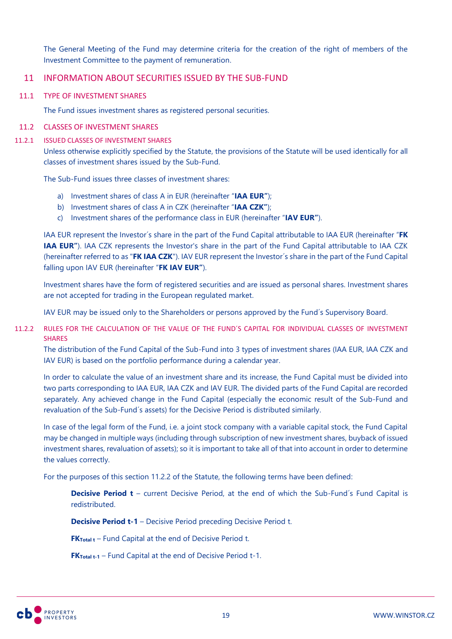The General Meeting of the Fund may determine criteria for the creation of the right of members of the Investment Committee to the payment of remuneration.

# <span id="page-18-0"></span>11 INFORMATION ABOUT SECURITIES ISSUED BY THE SUB-FUND

#### 11.1 TYPE OF INVESTMENT SHARES

The Fund issues investment shares as registered personal securities.

#### 11.2 CLASSES OF INVESTMENT SHARES

#### 11.2.1 ISSUED CLASSES OF INVESTMENT SHARES

Unless otherwise explicitly specified by the Statute, the provisions of the Statute will be used identically for all classes of investment shares issued by the Sub-Fund.

The Sub-Fund issues three classes of investment shares:

- a) Investment shares of class A in EUR (hereinafter "**IAA EUR"**);
- b) Investment shares of class A in CZK (hereinafter "**IAA CZK"**);
- c) Investment shares of the performance class in EUR (hereinafter "**IAV EUR"**).

IAA EUR represent the Investor´s share in the part of the Fund Capital attributable to IAA EUR (hereinafter "**FK IAA EUR"**). IAA CZK represents the Investor's share in the part of the Fund Capital attributable to IAA CZK (hereinafter referred to as "**FK IAA CZK**"). IAV EUR represent the Investor´s share in the part of the Fund Capital falling upon IAV EUR (hereinafter "**FK IAV EUR"**).

Investment shares have the form of registered securities and are issued as personal shares. Investment shares are not accepted for trading in the European regulated market.

IAV EUR may be issued only to the Shareholders or persons approved by the Fund´s Supervisory Board.

### 11.2.2 RULES FOR THE CALCULATION OF THE VALUE OF THE FUND´S CAPITAL FOR INDIVIDUAL CLASSES OF INVESTMENT **SHARES**

The distribution of the Fund Capital of the Sub-Fund into 3 types of investment shares (IAA EUR, IAA CZK and IAV EUR) is based on the portfolio performance during a calendar year.

In order to calculate the value of an investment share and its increase, the Fund Capital must be divided into two parts corresponding to IAA EUR, IAA CZK and IAV EUR. The divided parts of the Fund Capital are recorded separately. Any achieved change in the Fund Capital (especially the economic result of the Sub-Fund and revaluation of the Sub-Fund´s assets) for the Decisive Period is distributed similarly.

In case of the legal form of the Fund, i.e. a joint stock company with a variable capital stock, the Fund Capital may be changed in multiple ways (including through subscription of new investment shares, buyback of issued investment shares, revaluation of assets); so it is important to take all of that into account in order to determine the values correctly.

For the purposes of this section 11.2.2 of the Statute, the following terms have been defined:

**Decisive Period t** – current Decisive Period, at the end of which the Sub-Fund's Fund Capital is redistributed.

**Decisive Period t-1** – Decisive Period preceding Decisive Period t.

**FK**Total t – Fund Capital at the end of Decisive Period t.

**FK**Total t-1 – Fund Capital at the end of Decisive Period t-1.

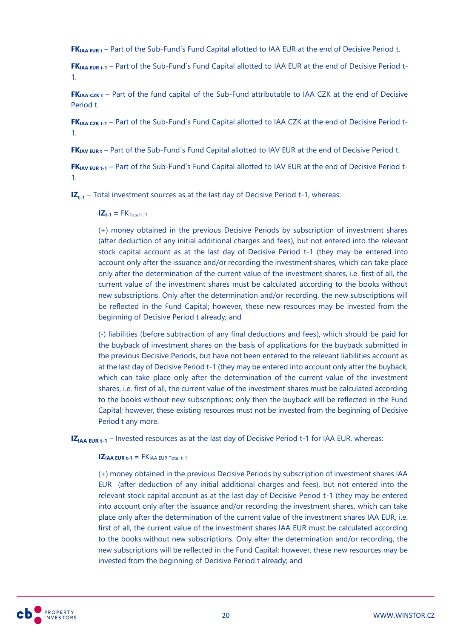**FKIAA EUR <sup>t</sup>** – Part of the Sub-Fund´s Fund Capital allotted to IAA EUR at the end of Decisive Period t.

**FKIAA EUR t-1** – Part of the Sub-Fund´s Fund Capital allotted to IAA EUR at the end of Decisive Period t-1.

**FKIAA CZK t** – Part of the fund capital of the Sub-Fund attributable to IAA CZK at the end of Decisive Period t.

**FKIAA CZK t-1** – Part of the Sub-Fund´s Fund Capital allotted to IAA CZK at the end of Decisive Period t-1.

**FKIAV EUR <sup>t</sup>** – Part of the Sub-Fund´s Fund Capital allotted to IAV EUR at the end of Decisive Period t.

**FKIAV EUR t-1** – Part of the Sub-Fund´s Fund Capital allotted to IAV EUR at the end of Decisive Period t-1.

**IZt-1** – Total investment sources as at the last day of Decisive Period t-1, whereas:

### $IZ_{t-1} = FK_{\text{Total }t-1}$

(+) money obtained in the previous Decisive Periods by subscription of investment shares (after deduction of any initial additional charges and fees), but not entered into the relevant stock capital account as at the last day of Decisive Period t-1 (they may be entered into account only after the issuance and/or recording the investment shares, which can take place only after the determination of the current value of the investment shares, i.e. first of all, the current value of the investment shares must be calculated according to the books without new subscriptions. Only after the determination and/or recording, the new subscriptions will be reflected in the Fund Capital; however, these new resources may be invested from the beginning of Decisive Period t already; and

(-) liabilities (before subtraction of any final deductions and fees), which should be paid for the buyback of investment shares on the basis of applications for the buyback submitted in the previous Decisive Periods, but have not been entered to the relevant liabilities account as at the last day of Decisive Period t-1 (they may be entered into account only after the buyback, which can take place only after the determination of the current value of the investment shares, i.e. first of all, the current value of the investment shares must be calculated according to the books without new subscriptions; only then the buyback will be reflected in the Fund Capital; however, these existing resources must not be invested from the beginning of Decisive Period t any more.

**IZ<sub>IAA EUR t-1</sub>** – Invested resources as at the last day of Decisive Period t-1 for IAA EUR, whereas:

# $\mathbf{IZ}_{\mathbf{IAA}}$  **EUR**  $\mathbf{t-1}$  **= FK** $\mathbf{IAA}$  **EUR** Total  $\mathbf{t-1}$

(+) money obtained in the previous Decisive Periods by subscription of investment shares IAA EUR (after deduction of any initial additional charges and fees), but not entered into the relevant stock capital account as at the last day of Decisive Period t-1 (they may be entered into account only after the issuance and/or recording the investment shares, which can take place only after the determination of the current value of the investment shares IAA EUR, i.e. first of all, the current value of the investment shares IAA EUR must be calculated according to the books without new subscriptions. Only after the determination and/or recording, the new subscriptions will be reflected in the Fund Capital; however, these new resources may be invested from the beginning of Decisive Period t already; and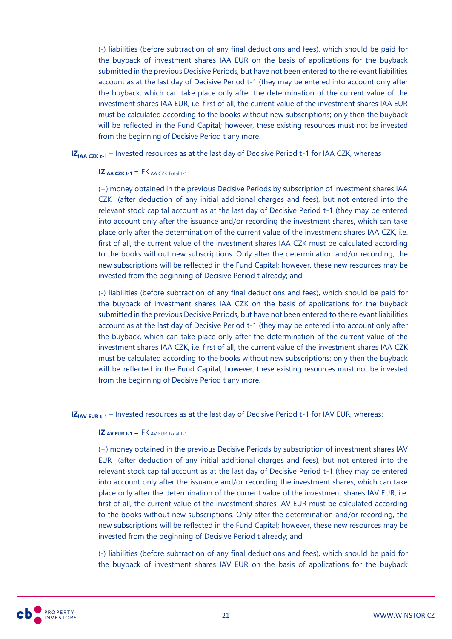(-) liabilities (before subtraction of any final deductions and fees), which should be paid for the buyback of investment shares IAA EUR on the basis of applications for the buyback submitted in the previous Decisive Periods, but have not been entered to the relevant liabilities account as at the last day of Decisive Period t-1 (they may be entered into account only after the buyback, which can take place only after the determination of the current value of the investment shares IAA EUR, i.e. first of all, the current value of the investment shares IAA EUR must be calculated according to the books without new subscriptions; only then the buyback will be reflected in the Fund Capital; however, these existing resources must not be invested from the beginning of Decisive Period t any more.

**IZ<sub>IAA CZK t-1</sub>** – Invested resources as at the last day of Decisive Period t-1 for IAA CZK, whereas

### $\mathbf{Z}_{\mathsf{IAA}}$   $\mathsf{czk}\, \mathsf{t-1}$  **=**  $\mathsf{FK}_{\mathsf{IAA}}$   $\mathsf{czk}\, \mathsf{Total}\, \mathsf{t-1}$

(+) money obtained in the previous Decisive Periods by subscription of investment shares IAA CZK (after deduction of any initial additional charges and fees), but not entered into the relevant stock capital account as at the last day of Decisive Period t-1 (they may be entered into account only after the issuance and/or recording the investment shares, which can take place only after the determination of the current value of the investment shares IAA CZK, i.e. first of all, the current value of the investment shares IAA CZK must be calculated according to the books without new subscriptions. Only after the determination and/or recording, the new subscriptions will be reflected in the Fund Capital; however, these new resources may be invested from the beginning of Decisive Period t already; and

(-) liabilities (before subtraction of any final deductions and fees), which should be paid for the buyback of investment shares IAA CZK on the basis of applications for the buyback submitted in the previous Decisive Periods, but have not been entered to the relevant liabilities account as at the last day of Decisive Period t-1 (they may be entered into account only after the buyback, which can take place only after the determination of the current value of the investment shares IAA CZK, i.e. first of all, the current value of the investment shares IAA CZK must be calculated according to the books without new subscriptions; only then the buyback will be reflected in the Fund Capital; however, these existing resources must not be invested from the beginning of Decisive Period t any more.

**IZ<sub>IAV EUR t-1</sub>** – Invested resources as at the last day of Decisive Period t-1 for IAV EUR, whereas:

### **IZIAV EUR**  $t-1$  **=**  $FK_{\text{IAV}}$  EUR Total  $t-1$

(+) money obtained in the previous Decisive Periods by subscription of investment shares IAV EUR (after deduction of any initial additional charges and fees), but not entered into the relevant stock capital account as at the last day of Decisive Period t-1 (they may be entered into account only after the issuance and/or recording the investment shares, which can take place only after the determination of the current value of the investment shares IAV EUR, i.e. first of all, the current value of the investment shares IAV EUR must be calculated according to the books without new subscriptions. Only after the determination and/or recording, the new subscriptions will be reflected in the Fund Capital; however, these new resources may be invested from the beginning of Decisive Period t already; and

(-) liabilities (before subtraction of any final deductions and fees), which should be paid for the buyback of investment shares IAV EUR on the basis of applications for the buyback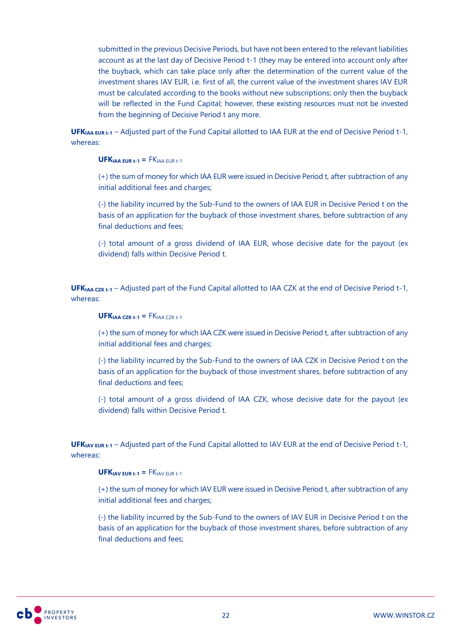submitted in the previous Decisive Periods, but have not been entered to the relevant liabilities account as at the last day of Decisive Period t-1 (they may be entered into account only after the buyback, which can take place only after the determination of the current value of the investment shares IAV EUR, i.e. first of all, the current value of the investment shares IAV EUR must be calculated according to the books without new subscriptions; only then the buyback will be reflected in the Fund Capital; however, these existing resources must not be invested from the beginning of Decisive Period t any more.

**UFKIAA EUR t-1** – Adjusted part of the Fund Capital allotted to IAA EUR at the end of Decisive Period t-1, whereas:

### **UFKIAA EUR t-1 =** FKIAA EUR t-1

(+) the sum of money for which IAA EUR were issued in Decisive Period t, after subtraction of any initial additional fees and charges;

(-) the liability incurred by the Sub-Fund to the owners of IAA EUR in Decisive Period t on the basis of an application for the buyback of those investment shares, before subtraction of any final deductions and fees;

(-) total amount of a gross dividend of IAA EUR, whose decisive date for the payout (ex dividend) falls within Decisive Period t.

**UFKIAA CZK t-1** – Adjusted part of the Fund Capital allotted to IAA CZK at the end of Decisive Period t-1, whereas:

### $UFK<sub>IAA</sub>$   $CZK + 1 = FK<sub>IAA</sub>$  $CZK + 1$

(+) the sum of money for which IAA CZK were issued in Decisive Period t, after subtraction of any initial additional fees and charges;

(-) the liability incurred by the Sub-Fund to the owners of IAA CZK in Decisive Period t on the basis of an application for the buyback of those investment shares, before subtraction of any final deductions and fees;

(-) total amount of a gross dividend of IAA CZK, whose decisive date for the payout (ex dividend) falls within Decisive Period t.

UFK<sub>IAV EUR</sub> **t-1** – Adjusted part of the Fund Capital allotted to IAV EUR at the end of Decisive Period t-1, whereas:

### $UFK<sub>IAV</sub>$  EUR  $t-1$  **=**  $FK<sub>IAV</sub>$  EUR  $t-1$

(+) the sum of money for which IAV EUR were issued in Decisive Period t, after subtraction of any initial additional fees and charges;

(-) the liability incurred by the Sub-Fund to the owners of IAV EUR in Decisive Period t on the basis of an application for the buyback of those investment shares, before subtraction of any final deductions and fees;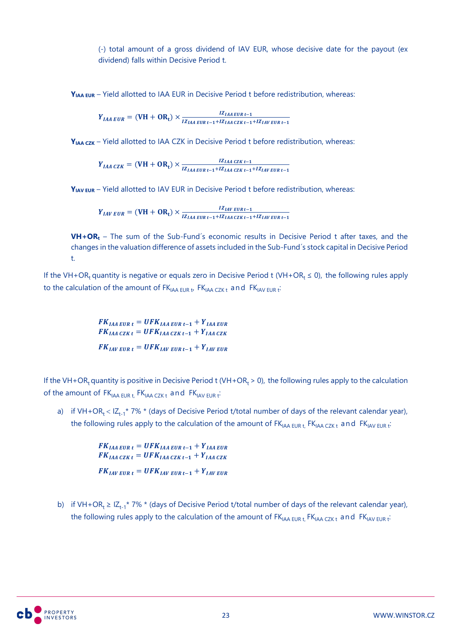(-) total amount of a gross dividend of IAV EUR, whose decisive date for the payout (ex dividend) falls within Decisive Period t.

**Y**<sub>IAA EUR</sub> – Yield allotted to IAA EUR in Decisive Period t before redistribution, whereas:

 $Y_{IAA\,EUR} = ( VH + OR_t) \times \frac{IZ_{IAA\,EUR\, t-1}}{IZ_{IAA\,EWR\, t-1}}$  $IZ_{IAA\text{ EUR }t-1}+IZ_{IAA\text{ CZK }t-1}+IZ_{IAV\text{ EUR }t-1}$ 

**YIAA CZK** – Yield allotted to IAA CZK in Decisive Period t before redistribution, whereas:

 $Y_{IAA\,CZK} = ( \text{VH} + \text{OR}_{\text{t}} ) \times \frac{IZ_{IAA\,CZK\,t-1}}{IZ_{IAA\,CZK\,t-1}}$  $IZ_{IAA\,EUR\,t-1}+IZ_{IAA\,CZK\,t-1}+IZ_{IAV\,EUR\,t-1}$ 

**Y**<sup>IAV</sup> EUR – Yield allotted to IAV EUR in Decisive Period t before redistribution, whereas:

 $Y_{IAV\,EUR} = ( VH + OR_t) \times \frac{IZ_{IAV\,EURt-1}}{IZ_{IAV}\, EVA_{A\,I}}$  $IZ_{IAA\,EUR\,t-1}+IZ_{IAA\,CZK\,t-1}+IZ_{IAV\,EUR\,t-1}$ 

**VH+OR<sup>t</sup>** – The sum of the Sub-Fund´s economic results in Decisive Period t after taxes, and the changes in the valuation difference of assets included in the Sub-Fund´s stock capital in Decisive Period t.

If the VH+OR<sub>t</sub> quantity is negative or equals zero in Decisive Period t (VH+OR<sub>t</sub>  $\leq$  0), the following rules apply to the calculation of the amount of  $FK_{\mathsf{IAA} \; \mathsf{EUR} \; t}$   $\mathsf{FK}_{\mathsf{IAA} \; \mathsf{CZK} \; t}$  and  $\mathsf{FK}_{\mathsf{IAV} \; \mathsf{EUR} \; t}$ 

> $FK_{IAA\text{ EUR }t} = UFK_{IAA\text{ EUR }t-1} + Y_{IAA\text{ EUR}}$  $FK_{IAA\ CZKt} = UFK_{IAA\ CZKt-1} + Y_{IAA\ CZK}$  $FK_{IAV\text{ EUR }t} = UFK_{IAV\text{ EUR }t-1} + Y_{IAV\text{ EUR}}$

If the VH+OR<sub>t</sub> quantity is positive in Decisive Period t (VH+OR<sub>t</sub> > 0), the following rules apply to the calculation of the amount of  $FK_{IAA EUR t}$ ,  $FK_{IAA CZK t}$  and  $FK_{IAV EUR t}$ 

a) if VH+OR<sub>t</sub> < IZ<sub>t-1</sub>\* 7% \* (days of Decisive Period t/total number of days of the relevant calendar year), the following rules apply to the calculation of the amount of FK<sub>IAA EUR t,</sub> FK<sub>IAA CZK t</sub> and FK<sub>IAV EUR t</sub>:

> $FK_{IAA\text{ EUR }t} = UFK_{IAA\text{ EUR }t-1} + Y_{IAA\text{ EUR}}$  $FK_{IAA\ CZKt} = UFK_{IAA\ CZKt-1} + Y_{IAA\ CZK}$  $FK_{IAVEURt} = UFK_{IAVEURt-1} + Y_{IAVEUR}$

b) if VH+OR<sub>t</sub>  $\geq$  IZ<sub>t-1</sub>\* 7% \* (days of Decisive Period t/total number of days of the relevant calendar year), the following rules apply to the calculation of the amount of  $FK_{IAA EUR t}$ ,  $FK_{IAA CZK t}$  and  $FK_{IAV EUR t}$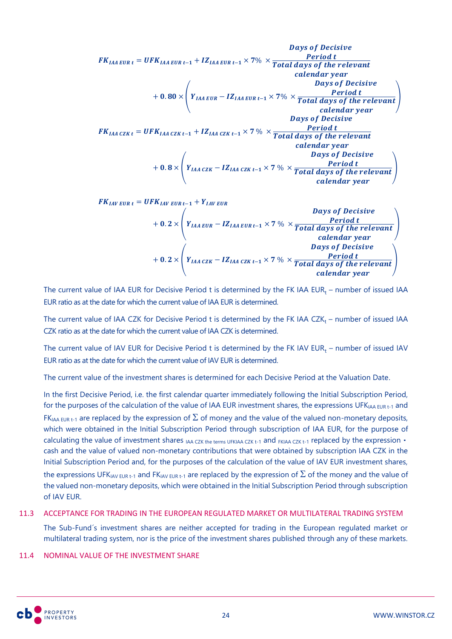| 5                                                                                                                                                                        | Bays of Decision |
|--------------------------------------------------------------------------------------------------------------------------------------------------------------------------|------------------|
| $PR_{IAA\text{ EUR}} = UFK_{IAA\text{ EUR}}t - 1 + IZ_{IAA\text{ EUR}}t - 1 \times 7\% \times \frac{Period t}{Total \text{ days of the relevant} \text{ calendar year}}$ |                  |
| $+ 0.80 \times \left(Y_{IAA\text{ EUR}} - IZ_{IAA\text{ EUR}}t - 1 \times 7\% \times \frac{Period t}{Total \text{ days of the relevant} \text{ calendar year}}\right)$   |                  |
| $FK_{IAA\text{ CZK}} = UFK_{IAA\text{ CZK}}t - 1 + IZ_{IAA\text{ CZK}}t - 1 \times 7\% \times \frac{Period t}{Total \text{ days of Decision} \text{ calendar year}}$     |                  |
| $+ 0.8 \times \left(Y_{IAA\text{ CZK}} - IZ_{IAA\text{ CZK}}t - 1 \times 7\% \times \frac{Period t}{Total \text{ days of Decision} \text{basic}}\right)$                 |                  |

$$
FK_{IAV\text{ EUR}} = UFK_{IAV\text{ EUR }t-1} + Y_{IAV\text{ EUR}} \\
+ 0.2 \times \left(Y_{IAA\text{ EUR}} - IZ_{IAA\text{ EUR }t-1} \times 7\% \times \frac{\text{Period t}}{\text{Total days of the relevant}}\right) \\
+ 0.2 \times \left(Y_{IAA\text{ CZK}} - IZ_{IAA\text{ CZK }t-1} \times 7\% \times \frac{\text{Period t}}{\text{Total days of Decision}}\right) \\
+ 0.2 \times \left(Y_{IAA\text{ CZK}} - IZ_{IAA\text{ CZK }t-1} \times 7\% \times \frac{\text{Period t}}{\text{Total days of the relevant}}\right) \\
\text{calendar year}
$$

The current value of IAA EUR for Decisive Period  $t$  is determined by the FK IAA EUR $_{\rm t}$  – number of issued IAA EUR ratio as at the date for which the current value of IAA EUR is determined.

The current value of IAA CZK for Decisive Period  $t$  is determined by the FK IAA CZK $_{\rm t}$  – number of issued IAA CZK ratio as at the date for which the current value of IAA CZK is determined.

The current value of IAV EUR for Decisive Period  $t$  is determined by the FK IAV EUR $_{\rm t}$  – number of issued IAV EUR ratio as at the date for which the current value of IAV EUR is determined.

The current value of the investment shares is determined for each Decisive Period at the Valuation Date.

In the first Decisive Period, i.e. the first calendar quarter immediately following the Initial Subscription Period, for the purposes of the calculation of the value of IAA EUR investment shares, the expressions UFK<sub>IAA EUR t-1</sub> and  $FK_{IAA}$  EUR t-1 are replaced by the expression of  $\Sigma$  of money and the value of the valued non-monetary deposits, which were obtained in the Initial Subscription Period through subscription of IAA EUR, for the purpose of calculating the value of investment shares IAA CZK the terms UFKIAA CZK t-1 and FKIAA CZK t-1 replaced by the expression . cash and the value of valued non-monetary contributions that were obtained by subscription IAA CZK in the Initial Subscription Period and, for the purposes of the calculation of the value of IAV EUR investment shares, the expressions UFK<sub>IAV EUR t-1</sub> and FK<sub>IAV EUR t-1</sub> are replaced by the expression of  $\Sigma$  of the money and the value of the valued non-monetary deposits, which were obtained in the Initial Subscription Period through subscription of IAV EUR.

### 11.3 ACCEPTANCE FOR TRADING IN THE EUROPEAN REGULATED MARKET OR MULTILATERAL TRADING SYSTEM

The Sub-Fund´s investment shares are neither accepted for trading in the European regulated market or multilateral trading system, nor is the price of the investment shares published through any of these markets.

### 11.4 NOMINAL VALUE OF THE INVESTMENT SHARE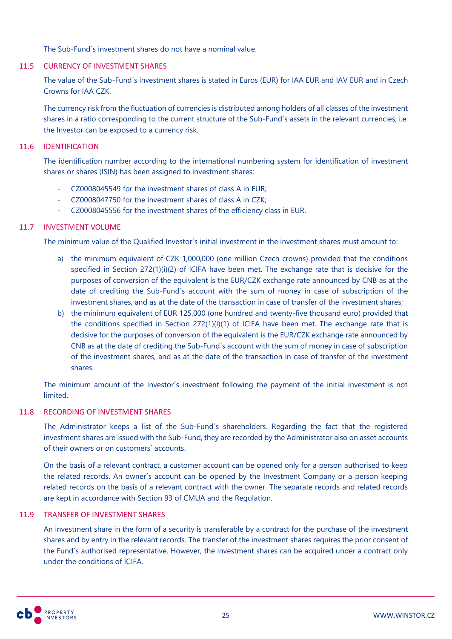The Sub-Fund´s investment shares do not have a nominal value.

### 11.5 CURRENCY OF INVESTMENT SHARES

The value of the Sub-Fund´s investment shares is stated in Euros (EUR) for IAA EUR and IAV EUR and in Czech Crowns for IAA CZK.

The currency risk from the fluctuation of currencies is distributed among holders of all classes of the investment shares in a ratio corresponding to the current structure of the Sub-Fund´s assets in the relevant currencies, i.e. the Investor can be exposed to a currency risk.

### 11.6 IDENTIFICATION

The identification number according to the international numbering system for identification of investment shares or shares (ISIN) has been assigned to investment shares:

- CZ0008045549 for the investment shares of class A in EUR;
- CZ0008047750 for the investment shares of class A in CZK;
- CZ0008045556 for the investment shares of the efficiency class in EUR.

### 11.7 INVESTMENT VOLUME

The minimum value of the Qualified Investor´s initial investment in the investment shares must amount to:

- a) the minimum equivalent of CZK 1,000,000 (one million Czech crowns) provided that the conditions specified in Section 272(1)(i)(2) of ICIFA have been met. The exchange rate that is decisive for the purposes of conversion of the equivalent is the EUR/CZK exchange rate announced by CNB as at the date of crediting the Sub-Fund´s account with the sum of money in case of subscription of the investment shares, and as at the date of the transaction in case of transfer of the investment shares;
- b) the minimum equivalent of EUR 125,000 (one hundred and twenty-five thousand euro) provided that the conditions specified in Section 272(1)(i)(1) of ICIFA have been met. The exchange rate that is decisive for the purposes of conversion of the equivalent is the EUR/CZK exchange rate announced by CNB as at the date of crediting the Sub-Fund´s account with the sum of money in case of subscription of the investment shares, and as at the date of the transaction in case of transfer of the investment shares.

The minimum amount of the Investor´s investment following the payment of the initial investment is not limited.

### 11.8 RECORDING OF INVESTMENT SHARES

The Administrator keeps a list of the Sub-Fund´s shareholders. Regarding the fact that the registered investment shares are issued with the Sub-Fund, they are recorded by the Administrator also on asset accounts of their owners or on customers´ accounts.

On the basis of a relevant contract, a customer account can be opened only for a person authorised to keep the related records. An owner´s account can be opened by the Investment Company or a person keeping related records on the basis of a relevant contract with the owner. The separate records and related records are kept in accordance with Section 93 of CMUA and the Regulation.

### 11.9 TRANSFER OF INVESTMENT SHARES

An investment share in the form of a security is transferable by a contract for the purchase of the investment shares and by entry in the relevant records. The transfer of the investment shares requires the prior consent of the Fund´s authorised representative. However, the investment shares can be acquired under a contract only under the conditions of ICIFA.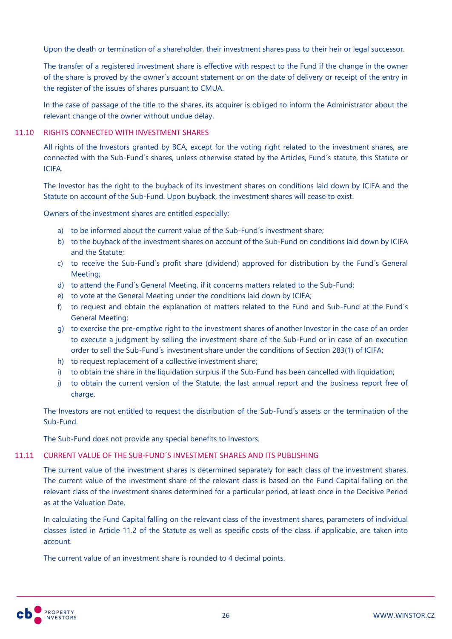Upon the death or termination of a shareholder, their investment shares pass to their heir or legal successor.

The transfer of a registered investment share is effective with respect to the Fund if the change in the owner of the share is proved by the owner´s account statement or on the date of delivery or receipt of the entry in the register of the issues of shares pursuant to CMUA.

In the case of passage of the title to the shares, its acquirer is obliged to inform the Administrator about the relevant change of the owner without undue delay.

### 11.10 RIGHTS CONNECTED WITH INVESTMENT SHARES

All rights of the Investors granted by BCA, except for the voting right related to the investment shares, are connected with the Sub-Fund´s shares, unless otherwise stated by the Articles, Fund´s statute, this Statute or ICIFA.

The Investor has the right to the buyback of its investment shares on conditions laid down by ICIFA and the Statute on account of the Sub-Fund. Upon buyback, the investment shares will cease to exist.

Owners of the investment shares are entitled especially:

- a) to be informed about the current value of the Sub-Fund´s investment share;
- b) to the buyback of the investment shares on account of the Sub-Fund on conditions laid down by ICIFA and the Statute;
- c) to receive the Sub-Fund´s profit share (dividend) approved for distribution by the Fund´s General Meeting;
- d) to attend the Fund´s General Meeting, if it concerns matters related to the Sub-Fund;
- e) to vote at the General Meeting under the conditions laid down by ICIFA;
- f) to request and obtain the explanation of matters related to the Fund and Sub-Fund at the Fund´s General Meeting;
- g) to exercise the pre-emptive right to the investment shares of another Investor in the case of an order to execute a judgment by selling the investment share of the Sub-Fund or in case of an execution order to sell the Sub-Fund´s investment share under the conditions of Section 283(1) of ICIFA;
- h) to request replacement of a collective investment share;
- i) to obtain the share in the liquidation surplus if the Sub-Fund has been cancelled with liquidation;
- j) to obtain the current version of the Statute, the last annual report and the business report free of charge.

The Investors are not entitled to request the distribution of the Sub-Fund´s assets or the termination of the Sub-Fund.

The Sub-Fund does not provide any special benefits to Investors.

### 11.11 CURRENT VALUE OF THE SUB-FUND´S INVESTMENT SHARES AND ITS PUBLISHING

The current value of the investment shares is determined separately for each class of the investment shares. The current value of the investment share of the relevant class is based on the Fund Capital falling on the relevant class of the investment shares determined for a particular period, at least once in the Decisive Period as at the Valuation Date.

In calculating the Fund Capital falling on the relevant class of the investment shares, parameters of individual classes listed in Article 11.2 of the Statute as well as specific costs of the class, if applicable, are taken into account.

The current value of an investment share is rounded to 4 decimal points.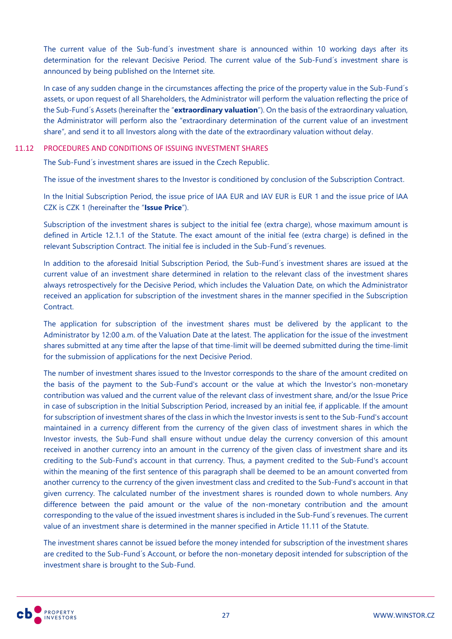The current value of the Sub-fund´s investment share is announced within 10 working days after its determination for the relevant Decisive Period. The current value of the Sub-Fund´s investment share is announced by being published on the Internet site.

In case of any sudden change in the circumstances affecting the price of the property value in the Sub-Fund´s assets, or upon request of all Shareholders, the Administrator will perform the valuation reflecting the price of the Sub-Fund´s Assets (hereinafter the "**extraordinary valuation**"). On the basis of the extraordinary valuation, the Administrator will perform also the "extraordinary determination of the current value of an investment share", and send it to all Investors along with the date of the extraordinary valuation without delay.

### 11.12 PROCEDURES AND CONDITIONS OF ISSUING INVESTMENT SHARES

The Sub-Fund´s investment shares are issued in the Czech Republic.

The issue of the investment shares to the Investor is conditioned by conclusion of the Subscription Contract.

In the Initial Subscription Period, the issue price of IAA EUR and IAV EUR is EUR 1 and the issue price of IAA CZK is CZK 1 (hereinafter the "**Issue Price**").

Subscription of the investment shares is subject to the initial fee (extra charge), whose maximum amount is defined in Article 12.1.1 of the Statute. The exact amount of the initial fee (extra charge) is defined in the relevant Subscription Contract. The initial fee is included in the Sub-Fund´s revenues.

In addition to the aforesaid Initial Subscription Period, the Sub-Fund´s investment shares are issued at the current value of an investment share determined in relation to the relevant class of the investment shares always retrospectively for the Decisive Period, which includes the Valuation Date, on which the Administrator received an application for subscription of the investment shares in the manner specified in the Subscription Contract.

The application for subscription of the investment shares must be delivered by the applicant to the Administrator by 12:00 a.m. of the Valuation Date at the latest. The application for the issue of the investment shares submitted at any time after the lapse of that time-limit will be deemed submitted during the time-limit for the submission of applications for the next Decisive Period.

The number of investment shares issued to the Investor corresponds to the share of the amount credited on the basis of the payment to the Sub-Fund's account or the value at which the Investor's non-monetary contribution was valued and the current value of the relevant class of investment share, and/or the Issue Price in case of subscription in the Initial Subscription Period, increased by an initial fee, if applicable. If the amount for subscription of investment shares of the class in which the Investor invests is sent to the Sub-Fund's account maintained in a currency different from the currency of the given class of investment shares in which the Investor invests, the Sub-Fund shall ensure without undue delay the currency conversion of this amount received in another currency into an amount in the currency of the given class of investment share and its crediting to the Sub-Fund's account in that currency. Thus, a payment credited to the Sub-Fund's account within the meaning of the first sentence of this paragraph shall be deemed to be an amount converted from another currency to the currency of the given investment class and credited to the Sub-Fund's account in that given currency. The calculated number of the investment shares is rounded down to whole numbers. Any difference between the paid amount or the value of the non-monetary contribution and the amount corresponding to the value of the issued investment shares is included in the Sub-Fund´s revenues. The current value of an investment share is determined in the manner specified in Article 11.11 of the Statute.

The investment shares cannot be issued before the money intended for subscription of the investment shares are credited to the Sub-Fund´s Account, or before the non-monetary deposit intended for subscription of the investment share is brought to the Sub-Fund.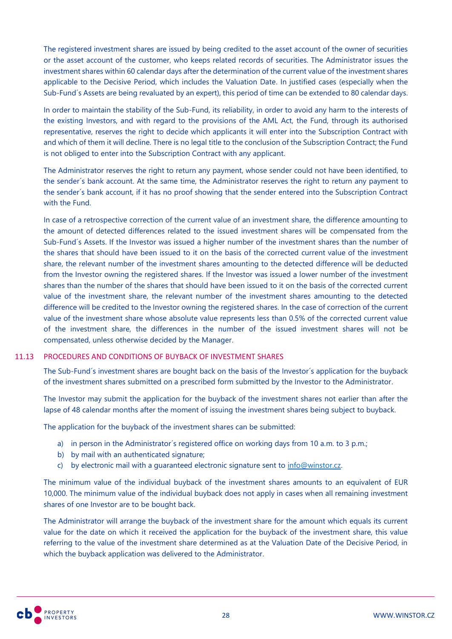The registered investment shares are issued by being credited to the asset account of the owner of securities or the asset account of the customer, who keeps related records of securities. The Administrator issues the investment shares within 60 calendar days after the determination of the current value of the investment shares applicable to the Decisive Period, which includes the Valuation Date. In justified cases (especially when the Sub-Fund´s Assets are being revaluated by an expert), this period of time can be extended to 80 calendar days.

In order to maintain the stability of the Sub-Fund, its reliability, in order to avoid any harm to the interests of the existing Investors, and with regard to the provisions of the AML Act, the Fund, through its authorised representative, reserves the right to decide which applicants it will enter into the Subscription Contract with and which of them it will decline. There is no legal title to the conclusion of the Subscription Contract; the Fund is not obliged to enter into the Subscription Contract with any applicant.

The Administrator reserves the right to return any payment, whose sender could not have been identified, to the sender´s bank account. At the same time, the Administrator reserves the right to return any payment to the sender´s bank account, if it has no proof showing that the sender entered into the Subscription Contract with the Fund.

In case of a retrospective correction of the current value of an investment share, the difference amounting to the amount of detected differences related to the issued investment shares will be compensated from the Sub-Fund´s Assets. If the Investor was issued a higher number of the investment shares than the number of the shares that should have been issued to it on the basis of the corrected current value of the investment share, the relevant number of the investment shares amounting to the detected difference will be deducted from the Investor owning the registered shares. If the Investor was issued a lower number of the investment shares than the number of the shares that should have been issued to it on the basis of the corrected current value of the investment share, the relevant number of the investment shares amounting to the detected difference will be credited to the Investor owning the registered shares. In the case of correction of the current value of the investment share whose absolute value represents less than 0.5% of the corrected current value of the investment share, the differences in the number of the issued investment shares will not be compensated, unless otherwise decided by the Manager.

### 11.13 PROCEDURES AND CONDITIONS OF BUYBACK OF INVESTMENT SHARES

The Sub-Fund´s investment shares are bought back on the basis of the Investor´s application for the buyback of the investment shares submitted on a prescribed form submitted by the Investor to the Administrator.

The Investor may submit the application for the buyback of the investment shares not earlier than after the lapse of 48 calendar months after the moment of issuing the investment shares being subject to buyback.

The application for the buyback of the investment shares can be submitted:

- a) in person in the Administrator's registered office on working days from 10 a.m. to 3 p.m.;
- b) by mail with an authenticated signature;
- c) by electronic mail with a quaranteed electronic signature sent to  $inf_{m \geq 0}$  infominator.cz.

The minimum value of the individual buyback of the investment shares amounts to an equivalent of EUR 10,000. The minimum value of the individual buyback does not apply in cases when all remaining investment shares of one Investor are to be bought back.

The Administrator will arrange the buyback of the investment share for the amount which equals its current value for the date on which it received the application for the buyback of the investment share, this value referring to the value of the investment share determined as at the Valuation Date of the Decisive Period, in which the buyback application was delivered to the Administrator.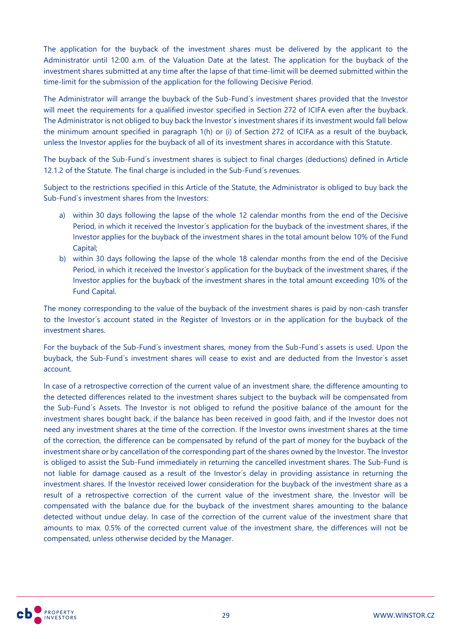The application for the buyback of the investment shares must be delivered by the applicant to the Administrator until 12:00 a.m. of the Valuation Date at the latest. The application for the buyback of the investment shares submitted at any time after the lapse of that time-limit will be deemed submitted within the time-limit for the submission of the application for the following Decisive Period.

The Administrator will arrange the buyback of the Sub-Fund´s investment shares provided that the Investor will meet the requirements for a qualified investor specified in Section 272 of ICIFA even after the buyback. The Administrator is not obliged to buy back the Investor´s investment shares if its investment would fall below the minimum amount specified in paragraph 1(h) or (i) of Section 272 of ICIFA as a result of the buyback, unless the Investor applies for the buyback of all of its investment shares in accordance with this Statute.

The buyback of the Sub-Fund´s investment shares is subject to final charges (deductions) defined in Article 12.1.2 of the Statute. The final charge is included in the Sub-Fund´s revenues.

Subject to the restrictions specified in this Article of the Statute, the Administrator is obliged to buy back the Sub-Fund´s investment shares from the Investors:

- a) within 30 days following the lapse of the whole 12 calendar months from the end of the Decisive Period, in which it received the Investor´s application for the buyback of the investment shares, if the Investor applies for the buyback of the investment shares in the total amount below 10% of the Fund Capital;
- b) within 30 days following the lapse of the whole 18 calendar months from the end of the Decisive Period, in which it received the Investor's application for the buyback of the investment shares, if the Investor applies for the buyback of the investment shares in the total amount exceeding 10% of the Fund Capital.

The money corresponding to the value of the buyback of the investment shares is paid by non-cash transfer to the Investor´s account stated in the Register of Investors or in the application for the buyback of the investment shares.

For the buyback of the Sub-Fund´s investment shares, money from the Sub-Fund´s assets is used. Upon the buyback, the Sub-Fund´s investment shares will cease to exist and are deducted from the Investor´s asset account.

In case of a retrospective correction of the current value of an investment share, the difference amounting to the detected differences related to the investment shares subject to the buyback will be compensated from the Sub-Fund´s Assets. The Investor is not obliged to refund the positive balance of the amount for the investment shares bought back, if the balance has been received in good faith, and if the Investor does not need any investment shares at the time of the correction. If the Investor owns investment shares at the time of the correction, the difference can be compensated by refund of the part of money for the buyback of the investment share or by cancellation of the corresponding part of the shares owned by the Investor. The Investor is obliged to assist the Sub-Fund immediately in returning the cancelled investment shares. The Sub-Fund is not liable for damage caused as a result of the Investor´s delay in providing assistance in returning the investment shares. If the Investor received lower consideration for the buyback of the investment share as a result of a retrospective correction of the current value of the investment share, the Investor will be compensated with the balance due for the buyback of the investment shares amounting to the balance detected without undue delay. In case of the correction of the current value of the investment share that amounts to max. 0.5% of the corrected current value of the investment share, the differences will not be compensated, unless otherwise decided by the Manager.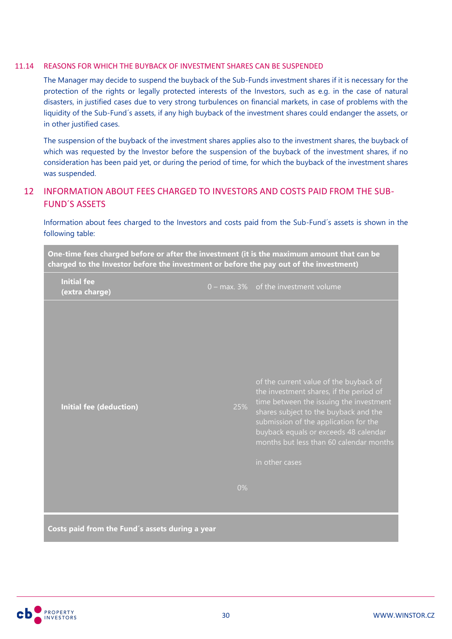### 11.14 REASONS FOR WHICH THE BUYBACK OF INVESTMENT SHARES CAN BE SUSPENDED

The Manager may decide to suspend the buyback of the Sub-Funds investment shares if it is necessary for the protection of the rights or legally protected interests of the Investors, such as e.g. in the case of natural disasters, in justified cases due to very strong turbulences on financial markets, in case of problems with the liquidity of the Sub-Fund´s assets, if any high buyback of the investment shares could endanger the assets, or in other justified cases.

The suspension of the buyback of the investment shares applies also to the investment shares, the buyback of which was requested by the Investor before the suspension of the buyback of the investment shares, if no consideration has been paid yet, or during the period of time, for which the buyback of the investment shares was suspended.

# <span id="page-29-0"></span>12 INFORMATION ABOUT FEES CHARGED TO INVESTORS AND COSTS PAID FROM THE SUB-FUND´S ASSETS

Information about fees charged to the Investors and costs paid from the Sub-Fund´s assets is shown in the following table:

| of the current value of the buyback of<br>the investment shares, if the period of<br>25%<br><b>Initial fee (deduction)</b><br>shares subject to the buyback and the<br>submission of the application for the<br>buyback equals or exceeds 48 calendar<br>in other cases<br>0% | charged to the Investor before the investment or before the pay out of the investment)<br><b>Initial fee</b><br>(extra charge) | $0$ – max. 3% of the investment volume                                             |
|-------------------------------------------------------------------------------------------------------------------------------------------------------------------------------------------------------------------------------------------------------------------------------|--------------------------------------------------------------------------------------------------------------------------------|------------------------------------------------------------------------------------|
|                                                                                                                                                                                                                                                                               |                                                                                                                                | time between the issuing the investment<br>months but less than 60 calendar months |
|                                                                                                                                                                                                                                                                               |                                                                                                                                |                                                                                    |

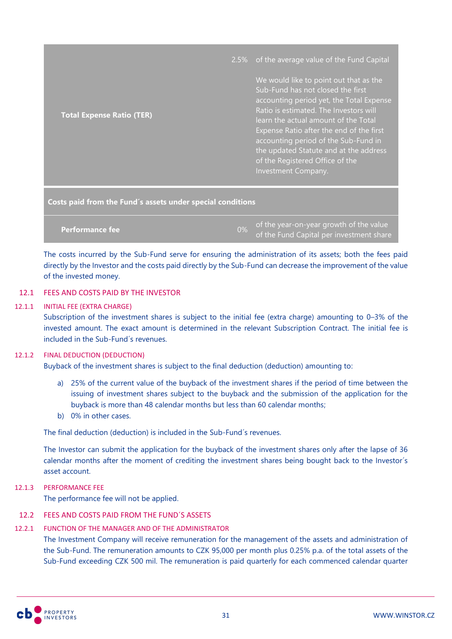|                                  | 2.5% of the average value of the Fund Capital                                                                                                                                                                                                                                                                                                                                                     |
|----------------------------------|---------------------------------------------------------------------------------------------------------------------------------------------------------------------------------------------------------------------------------------------------------------------------------------------------------------------------------------------------------------------------------------------------|
| <b>Total Expense Ratio (TER)</b> | We would like to point out that as the<br>Sub-Fund has not closed the first<br>accounting period yet, the Total Expense<br>Ratio is estimated. The Investors will<br>learn the actual amount of the Total<br>Expense Ratio after the end of the first<br>accounting period of the Sub-Fund in<br>the updated Statute and at the address<br>of the Registered Office of the<br>Investment Company. |
|                                  |                                                                                                                                                                                                                                                                                                                                                                                                   |

**Costs paid from the Fund´s assets under special conditions**

**Performance fee** 0% of the year-on-year growth of the value of the Fund Capital per investment share

The costs incurred by the Sub-Fund serve for ensuring the administration of its assets; both the fees paid directly by the Investor and the costs paid directly by the Sub-Fund can decrease the improvement of the value of the invested money.

### 12.1 FEES AND COSTS PAID BY THE INVESTOR

### 12.1.1 INITIAL FEE (EXTRA CHARGE)

Subscription of the investment shares is subject to the initial fee (extra charge) amounting to 0–3% of the invested amount. The exact amount is determined in the relevant Subscription Contract. The initial fee is included in the Sub-Fund´s revenues.

### 12.1.2 FINAL DEDUCTION (DEDUCTION)

Buyback of the investment shares is subject to the final deduction (deduction) amounting to:

- a) 25% of the current value of the buyback of the investment shares if the period of time between the issuing of investment shares subject to the buyback and the submission of the application for the buyback is more than 48 calendar months but less than 60 calendar months;
- b) 0% in other cases.

The final deduction (deduction) is included in the Sub-Fund´s revenues.

The Investor can submit the application for the buyback of the investment shares only after the lapse of 36 calendar months after the moment of crediting the investment shares being bought back to the Investor´s asset account.

12.1.3 PERFORMANCE FEE

The performance fee will not be applied.

### 12.2 FEES AND COSTS PAID FROM THE FUND´S ASSETS

# 12.2.1 FUNCTION OF THE MANAGER AND OF THE ADMINISTRATOR

The Investment Company will receive remuneration for the management of the assets and administration of the Sub-Fund. The remuneration amounts to CZK 95,000 per month plus 0.25% p.a. of the total assets of the Sub-Fund exceeding CZK 500 mil. The remuneration is paid quarterly for each commenced calendar quarter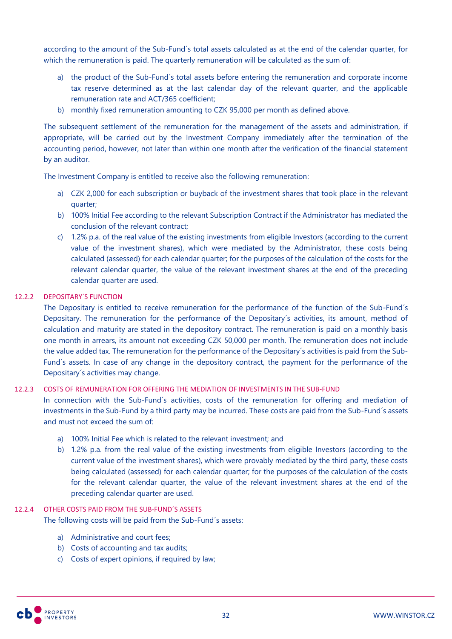according to the amount of the Sub-Fund´s total assets calculated as at the end of the calendar quarter, for which the remuneration is paid. The quarterly remuneration will be calculated as the sum of:

- a) the product of the Sub-Fund´s total assets before entering the remuneration and corporate income tax reserve determined as at the last calendar day of the relevant quarter, and the applicable remuneration rate and ACT/365 coefficient;
- b) monthly fixed remuneration amounting to CZK 95,000 per month as defined above.

The subsequent settlement of the remuneration for the management of the assets and administration, if appropriate, will be carried out by the Investment Company immediately after the termination of the accounting period, however, not later than within one month after the verification of the financial statement by an auditor.

The Investment Company is entitled to receive also the following remuneration:

- a) CZK 2,000 for each subscription or buyback of the investment shares that took place in the relevant quarter;
- b) 100% Initial Fee according to the relevant Subscription Contract if the Administrator has mediated the conclusion of the relevant contract;
- c) 1.2% p.a. of the real value of the existing investments from eligible Investors (according to the current value of the investment shares), which were mediated by the Administrator, these costs being calculated (assessed) for each calendar quarter; for the purposes of the calculation of the costs for the relevant calendar quarter, the value of the relevant investment shares at the end of the preceding calendar quarter are used.

# 12.2.2 DEPOSITARY´S FUNCTION

The Depositary is entitled to receive remuneration for the performance of the function of the Sub-Fund´s Depositary. The remuneration for the performance of the Depositary´s activities, its amount, method of calculation and maturity are stated in the depository contract. The remuneration is paid on a monthly basis one month in arrears, its amount not exceeding CZK 50,000 per month. The remuneration does not include the value added tax. The remuneration for the performance of the Depositary´s activities is paid from the Sub-Fund´s assets. In case of any change in the depository contract, the payment for the performance of the Depositary´s activities may change.

### 12.2.3 COSTS OF REMUNERATION FOR OFFERING THE MEDIATION OF INVESTMENTS IN THE SUB-FUND

In connection with the Sub-Fund's activities, costs of the remuneration for offering and mediation of investments in the Sub-Fund by a third party may be incurred. These costs are paid from the Sub-Fund´s assets and must not exceed the sum of:

- a) 100% Initial Fee which is related to the relevant investment; and
- b) 1.2% p.a. from the real value of the existing investments from eligible Investors (according to the current value of the investment shares), which were provably mediated by the third party, these costs being calculated (assessed) for each calendar quarter; for the purposes of the calculation of the costs for the relevant calendar quarter, the value of the relevant investment shares at the end of the preceding calendar quarter are used.

### 12.2.4 OTHER COSTS PAID FROM THE SUB-FUND´S ASSETS

The following costs will be paid from the Sub-Fund´s assets:

- a) Administrative and court fees;
- b) Costs of accounting and tax audits;
- c) Costs of expert opinions, if required by law;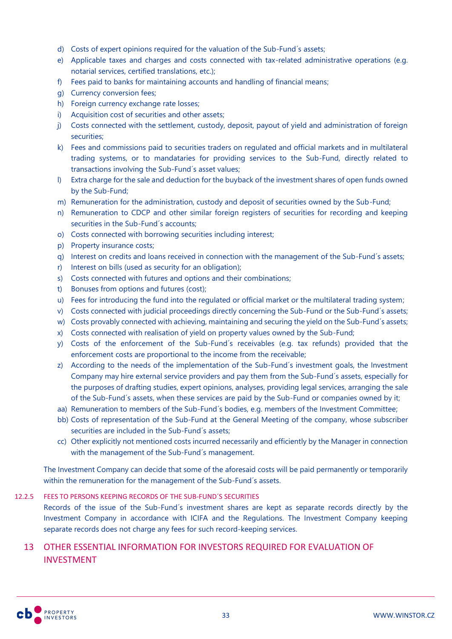- d) Costs of expert opinions required for the valuation of the Sub-Fund´s assets;
- e) Applicable taxes and charges and costs connected with tax-related administrative operations (e.g. notarial services, certified translations, etc.);
- f) Fees paid to banks for maintaining accounts and handling of financial means;
- g) Currency conversion fees;
- h) Foreign currency exchange rate losses;
- i) Acquisition cost of securities and other assets;
- j) Costs connected with the settlement, custody, deposit, payout of yield and administration of foreign securities;
- k) Fees and commissions paid to securities traders on regulated and official markets and in multilateral trading systems, or to mandataries for providing services to the Sub-Fund, directly related to transactions involving the Sub-Fund´s asset values;
- l) Extra charge for the sale and deduction for the buyback of the investment shares of open funds owned by the Sub-Fund;
- m) Remuneration for the administration, custody and deposit of securities owned by the Sub-Fund;
- n) Remuneration to CDCP and other similar foreign registers of securities for recording and keeping securities in the Sub-Fund´s accounts;
- o) Costs connected with borrowing securities including interest;
- p) Property insurance costs;
- q) Interest on credits and loans received in connection with the management of the Sub-Fund´s assets;
- r) Interest on bills (used as security for an obligation);
- s) Costs connected with futures and options and their combinations;
- t) Bonuses from options and futures (cost);
- u) Fees for introducing the fund into the regulated or official market or the multilateral trading system;
- v) Costs connected with judicial proceedings directly concerning the Sub-Fund or the Sub-Fund´s assets;
- w) Costs provably connected with achieving, maintaining and securing the yield on the Sub-Fund´s assets;
- x) Costs connected with realisation of yield on property values owned by the Sub-Fund;
- y) Costs of the enforcement of the Sub-Fund´s receivables (e.g. tax refunds) provided that the enforcement costs are proportional to the income from the receivable;
- z) According to the needs of the implementation of the Sub-Fund´s investment goals, the Investment Company may hire external service providers and pay them from the Sub-Fund´s assets, especially for the purposes of drafting studies, expert opinions, analyses, providing legal services, arranging the sale of the Sub-Fund´s assets, when these services are paid by the Sub-Fund or companies owned by it;
- aa) Remuneration to members of the Sub-Fund´s bodies, e.g. members of the Investment Committee;
- bb) Costs of representation of the Sub-Fund at the General Meeting of the company, whose subscriber securities are included in the Sub-Fund´s assets;
- cc) Other explicitly not mentioned costs incurred necessarily and efficiently by the Manager in connection with the management of the Sub-Fund´s management.

The Investment Company can decide that some of the aforesaid costs will be paid permanently or temporarily within the remuneration for the management of the Sub-Fund´s assets.

### 12.2.5 FEES TO PERSONS KEEPING RECORDS OF THE SUB-FUND´S SECURITIES

Records of the issue of the Sub-Fund´s investment shares are kept as separate records directly by the Investment Company in accordance with ICIFA and the Regulations. The Investment Company keeping separate records does not charge any fees for such record-keeping services.

# <span id="page-32-0"></span>13 OTHER ESSENTIAL INFORMATION FOR INVESTORS REQUIRED FOR EVALUATION OF INVESTMENT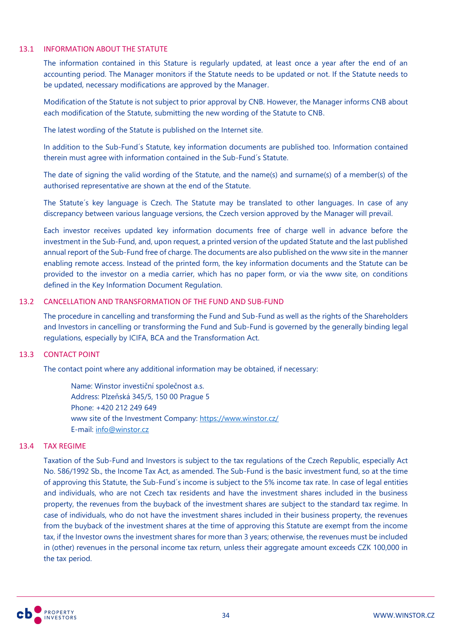#### 13.1 INFORMATION ABOUT THE STATUTE

The information contained in this Stature is regularly updated, at least once a year after the end of an accounting period. The Manager monitors if the Statute needs to be updated or not. If the Statute needs to be updated, necessary modifications are approved by the Manager.

Modification of the Statute is not subject to prior approval by CNB. However, the Manager informs CNB about each modification of the Statute, submitting the new wording of the Statute to CNB.

The latest wording of the Statute is published on the Internet site.

In addition to the Sub-Fund´s Statute, key information documents are published too. Information contained therein must agree with information contained in the Sub-Fund´s Statute.

The date of signing the valid wording of the Statute, and the name(s) and surname(s) of a member(s) of the authorised representative are shown at the end of the Statute.

The Statute´s key language is Czech. The Statute may be translated to other languages. In case of any discrepancy between various language versions, the Czech version approved by the Manager will prevail.

Each investor receives updated key information documents free of charge well in advance before the investment in the Sub-Fund, and, upon request, a printed version of the updated Statute and the last published annual report of the Sub-Fund free of charge. The documents are also published on the www site in the manner enabling remote access. Instead of the printed form, the key information documents and the Statute can be provided to the investor on a media carrier, which has no paper form, or via the www site, on conditions defined in the Key Information Document Regulation.

### 13.2 CANCELLATION AND TRANSFORMATION OF THE FUND AND SUB-FUND

The procedure in cancelling and transforming the Fund and Sub-Fund as well as the rights of the Shareholders and Investors in cancelling or transforming the Fund and Sub-Fund is governed by the generally binding legal regulations, especially by ICIFA, BCA and the Transformation Act.

### 13.3 CONTACT POINT

The contact point where any additional information may be obtained, if necessary:

Name: Winstor investiční společnost a.s. Address: Plzeňská 345/5, 150 00 Prague 5 Phone: +420 212 249 649 www site of the Investment Company:<https://www.winstor.cz/> E-mail: [info@winstor.cz](mailto:info@winstor.cz)

### 13.4 TAX REGIME

Taxation of the Sub-Fund and Investors is subject to the tax regulations of the Czech Republic, especially Act No. 586/1992 Sb., the Income Tax Act, as amended. The Sub-Fund is the basic investment fund, so at the time of approving this Statute, the Sub-Fund´s income is subject to the 5% income tax rate. In case of legal entities and individuals, who are not Czech tax residents and have the investment shares included in the business property, the revenues from the buyback of the investment shares are subject to the standard tax regime. In case of individuals, who do not have the investment shares included in their business property, the revenues from the buyback of the investment shares at the time of approving this Statute are exempt from the income tax, if the Investor owns the investment shares for more than 3 years; otherwise, the revenues must be included in (other) revenues in the personal income tax return, unless their aggregate amount exceeds CZK 100,000 in the tax period.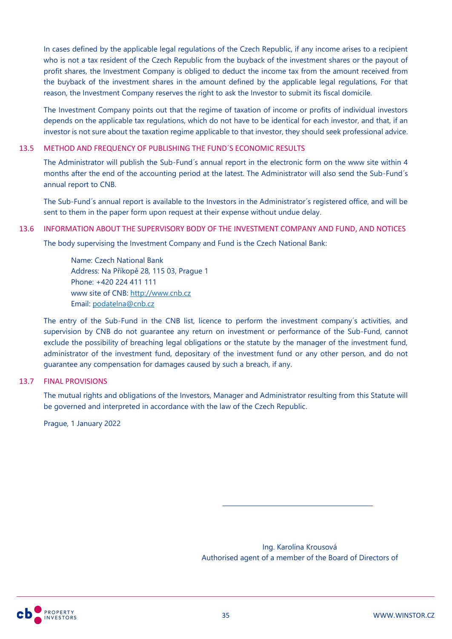In cases defined by the applicable legal regulations of the Czech Republic, if any income arises to a recipient who is not a tax resident of the Czech Republic from the buyback of the investment shares or the payout of profit shares, the Investment Company is obliged to deduct the income tax from the amount received from the buyback of the investment shares in the amount defined by the applicable legal regulations, For that reason, the Investment Company reserves the right to ask the Investor to submit its fiscal domicile.

The Investment Company points out that the regime of taxation of income or profits of individual investors depends on the applicable tax regulations, which do not have to be identical for each investor, and that, if an investor is not sure about the taxation regime applicable to that investor, they should seek professional advice.

### 13.5 METHOD AND FREQUENCY OF PUBLISHING THE FUND´S ECONOMIC RESULTS

The Administrator will publish the Sub-Fund´s annual report in the electronic form on the www site within 4 months after the end of the accounting period at the latest. The Administrator will also send the Sub-Fund´s annual report to CNB.

The Sub-Fund´s annual report is available to the Investors in the Administrator´s registered office, and will be sent to them in the paper form upon request at their expense without undue delay.

#### 13.6 INFORMATION ABOUT THE SUPERVISORY BODY OF THE INVESTMENT COMPANY AND FUND, AND NOTICES

The body supervising the Investment Company and Fund is the Czech National Bank:

Name: Czech National Bank Address: Na Příkopě 28, 115 03, Prague 1 Phone: +420 224 411 111 www site of CNB: [http://www.cnb.cz](http://www.cnb.cz/) Email: [podatelna@cnb.cz](mailto:podatelna@cnb.cz)

The entry of the Sub-Fund in the CNB list, licence to perform the investment company´s activities, and supervision by CNB do not guarantee any return on investment or performance of the Sub-Fund, cannot exclude the possibility of breaching legal obligations or the statute by the manager of the investment fund, administrator of the investment fund, depositary of the investment fund or any other person, and do not guarantee any compensation for damages caused by such a breach, if any.

### 13.7 FINAL PROVISIONS

The mutual rights and obligations of the Investors, Manager and Administrator resulting from this Statute will be governed and interpreted in accordance with the law of the Czech Republic.

Prague, 1 January 2022

Ing. Karolína Krousová Authorised agent of a member of the Board of Directors of